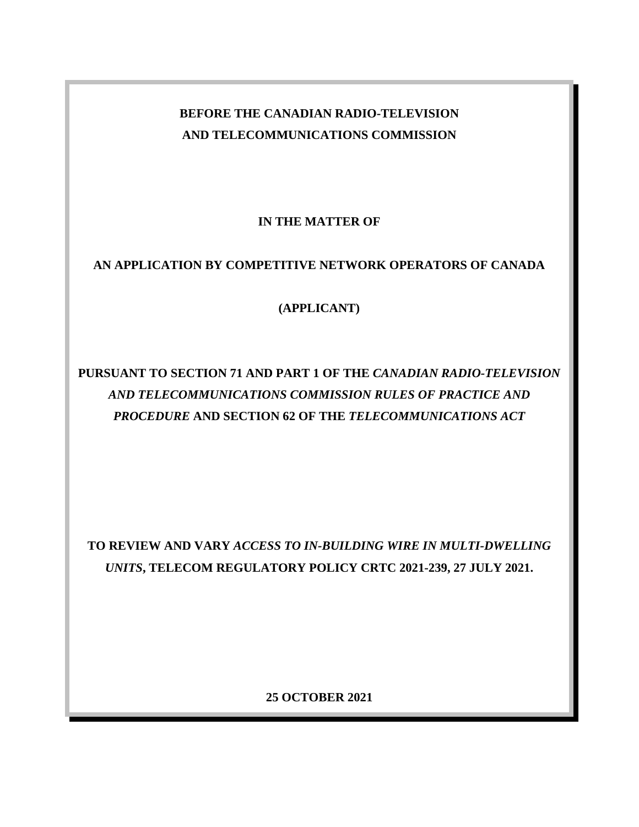# **BEFORE THE CANADIAN RADIO-TELEVISION AND TELECOMMUNICATIONS COMMISSION**

**IN THE MATTER OF** 

## **AN APPLICATION BY COMPETITIVE NETWORK OPERATORS OF CANADA**

**(APPLICANT)**

# **PURSUANT TO SECTION 71 AND PART 1 OF THE** *CANADIAN RADIO-TELEVISION AND TELECOMMUNICATIONS COMMISSION RULES OF PRACTICE AND PROCEDURE* **AND SECTION 62 OF THE** *TELECOMMUNICATIONS ACT*

**TO REVIEW AND VARY** *ACCESS TO IN-BUILDING WIRE IN MULTI-DWELLING UNITS***, TELECOM REGULATORY POLICY CRTC 2021-239, 27 JULY 2021.**

**25 OCTOBER 2021**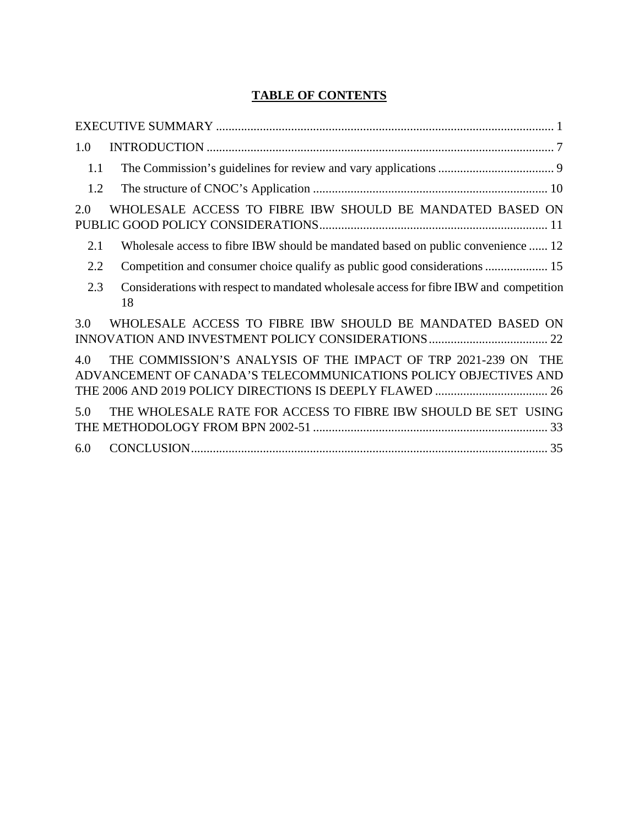## **TABLE OF CONTENTS**

| 1.0 |                                                                                                                                              |
|-----|----------------------------------------------------------------------------------------------------------------------------------------------|
| 1.1 |                                                                                                                                              |
| 1.2 |                                                                                                                                              |
| 2.0 | WHOLESALE ACCESS TO FIBRE IBW SHOULD BE MANDATED BASED ON                                                                                    |
| 2.1 | Wholesale access to fibre IBW should be mandated based on public convenience  12                                                             |
| 2.2 |                                                                                                                                              |
| 2.3 | Considerations with respect to mandated wholesale access for fibre IBW and competition<br>18                                                 |
| 3.0 | WHOLESALE ACCESS TO FIBRE IBW SHOULD BE MANDATED BASED ON                                                                                    |
| 4.0 | THE COMMISSION'S ANALYSIS OF THE IMPACT OF TRP 2021-239 ON<br><b>THE</b><br>ADVANCEMENT OF CANADA'S TELECOMMUNICATIONS POLICY OBJECTIVES AND |
| 5.0 | THE WHOLESALE RATE FOR ACCESS TO FIBRE IBW SHOULD BE SET USING                                                                               |
| 6.0 |                                                                                                                                              |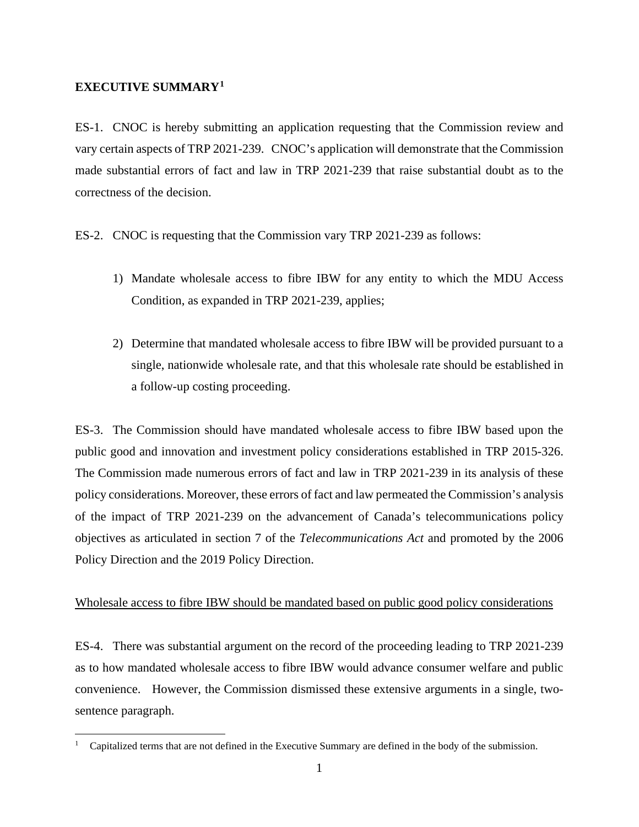#### <span id="page-2-0"></span>**EXECUTIVE SUMMARY[1](#page-2-1)**

ES-1. CNOC is hereby submitting an application requesting that the Commission review and vary certain aspects of TRP 2021-239. CNOC's application will demonstrate that the Commission made substantial errors of fact and law in TRP 2021-239 that raise substantial doubt as to the correctness of the decision.

ES-2. CNOC is requesting that the Commission vary TRP 2021-239 as follows:

- 1) Mandate wholesale access to fibre IBW for any entity to which the MDU Access Condition, as expanded in TRP 2021-239, applies;
- 2) Determine that mandated wholesale access to fibre IBW will be provided pursuant to a single, nationwide wholesale rate, and that this wholesale rate should be established in a follow-up costing proceeding.

ES-3. The Commission should have mandated wholesale access to fibre IBW based upon the public good and innovation and investment policy considerations established in TRP 2015-326. The Commission made numerous errors of fact and law in TRP 2021-239 in its analysis of these policy considerations. Moreover, these errors of fact and law permeated the Commission's analysis of the impact of TRP 2021-239 on the advancement of Canada's telecommunications policy objectives as articulated in section 7 of the *Telecommunications Act* and promoted by the 2006 Policy Direction and the 2019 Policy Direction.

#### Wholesale access to fibre IBW should be mandated based on public good policy considerations

ES-4. There was substantial argument on the record of the proceeding leading to TRP 2021-239 as to how mandated wholesale access to fibre IBW would advance consumer welfare and public convenience. However, the Commission dismissed these extensive arguments in a single, twosentence paragraph.

<span id="page-2-1"></span><sup>1</sup> Capitalized terms that are not defined in the Executive Summary are defined in the body of the submission.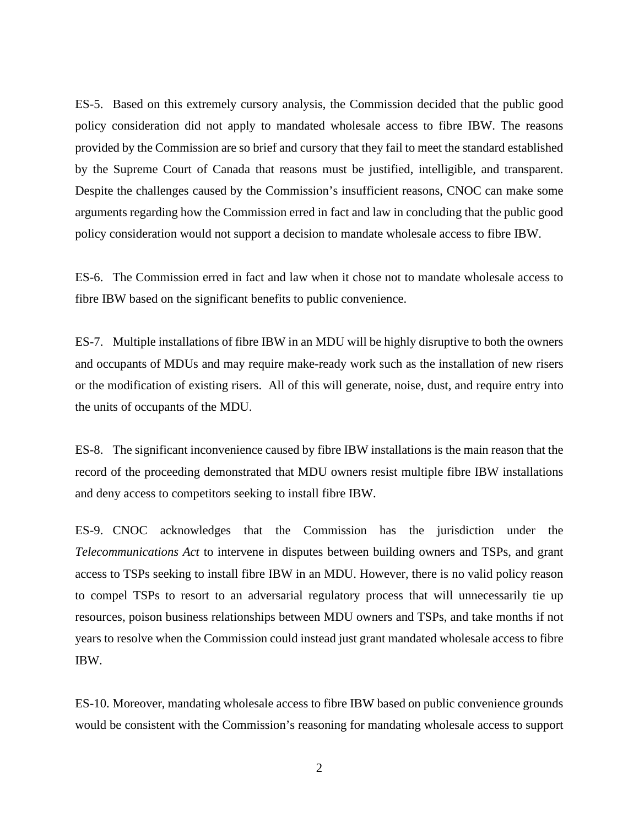ES-5. Based on this extremely cursory analysis, the Commission decided that the public good policy consideration did not apply to mandated wholesale access to fibre IBW. The reasons provided by the Commission are so brief and cursory that they fail to meet the standard established by the Supreme Court of Canada that reasons must be justified, intelligible, and transparent. Despite the challenges caused by the Commission's insufficient reasons, CNOC can make some arguments regarding how the Commission erred in fact and law in concluding that the public good policy consideration would not support a decision to mandate wholesale access to fibre IBW.

ES-6. The Commission erred in fact and law when it chose not to mandate wholesale access to fibre IBW based on the significant benefits to public convenience.

ES-7. Multiple installations of fibre IBW in an MDU will be highly disruptive to both the owners and occupants of MDUs and may require make-ready work such as the installation of new risers or the modification of existing risers. All of this will generate, noise, dust, and require entry into the units of occupants of the MDU.

ES-8. The significant inconvenience caused by fibre IBW installations is the main reason that the record of the proceeding demonstrated that MDU owners resist multiple fibre IBW installations and deny access to competitors seeking to install fibre IBW.

ES-9. CNOC acknowledges that the Commission has the jurisdiction under the *Telecommunications Act* to intervene in disputes between building owners and TSPs, and grant access to TSPs seeking to install fibre IBW in an MDU. However, there is no valid policy reason to compel TSPs to resort to an adversarial regulatory process that will unnecessarily tie up resources, poison business relationships between MDU owners and TSPs, and take months if not years to resolve when the Commission could instead just grant mandated wholesale access to fibre IBW.

ES-10. Moreover, mandating wholesale access to fibre IBW based on public convenience grounds would be consistent with the Commission's reasoning for mandating wholesale access to support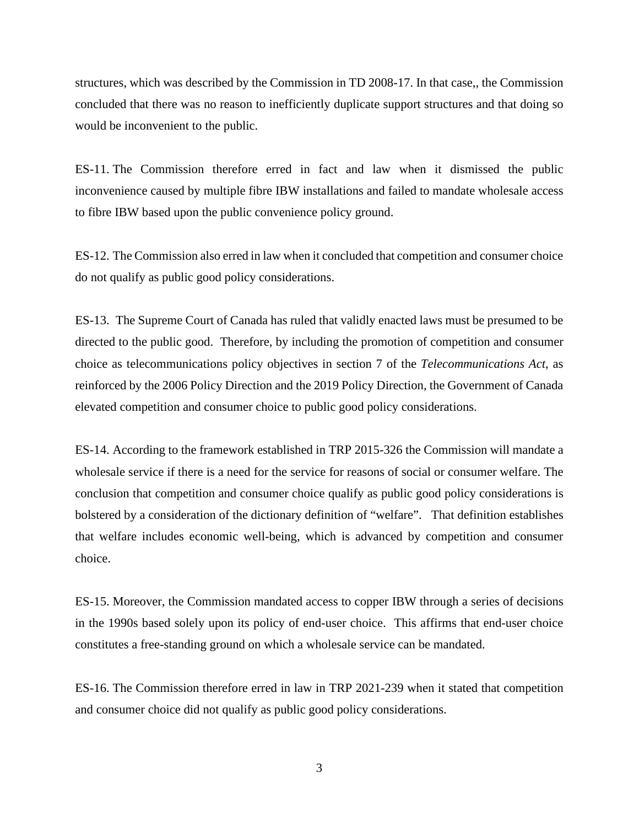structures, which was described by the Commission in TD 2008-17. In that case,, the Commission concluded that there was no reason to inefficiently duplicate support structures and that doing so would be inconvenient to the public.

ES-11. The Commission therefore erred in fact and law when it dismissed the public inconvenience caused by multiple fibre IBW installations and failed to mandate wholesale access to fibre IBW based upon the public convenience policy ground.

ES-12. The Commission also erred in law when it concluded that competition and consumer choice do not qualify as public good policy considerations.

ES-13. The Supreme Court of Canada has ruled that validly enacted laws must be presumed to be directed to the public good. Therefore, by including the promotion of competition and consumer choice as telecommunications policy objectives in section 7 of the *Telecommunications Act*, as reinforced by the 2006 Policy Direction and the 2019 Policy Direction, the Government of Canada elevated competition and consumer choice to public good policy considerations.

ES-14. According to the framework established in TRP 2015-326 the Commission will mandate a wholesale service if there is a need for the service for reasons of social or consumer welfare. The conclusion that competition and consumer choice qualify as public good policy considerations is bolstered by a consideration of the dictionary definition of "welfare". That definition establishes that welfare includes economic well-being, which is advanced by competition and consumer choice.

ES-15. Moreover, the Commission mandated access to copper IBW through a series of decisions in the 1990s based solely upon its policy of end-user choice. This affirms that end-user choice constitutes a free-standing ground on which a wholesale service can be mandated.

ES-16. The Commission therefore erred in law in TRP 2021-239 when it stated that competition and consumer choice did not qualify as public good policy considerations.

3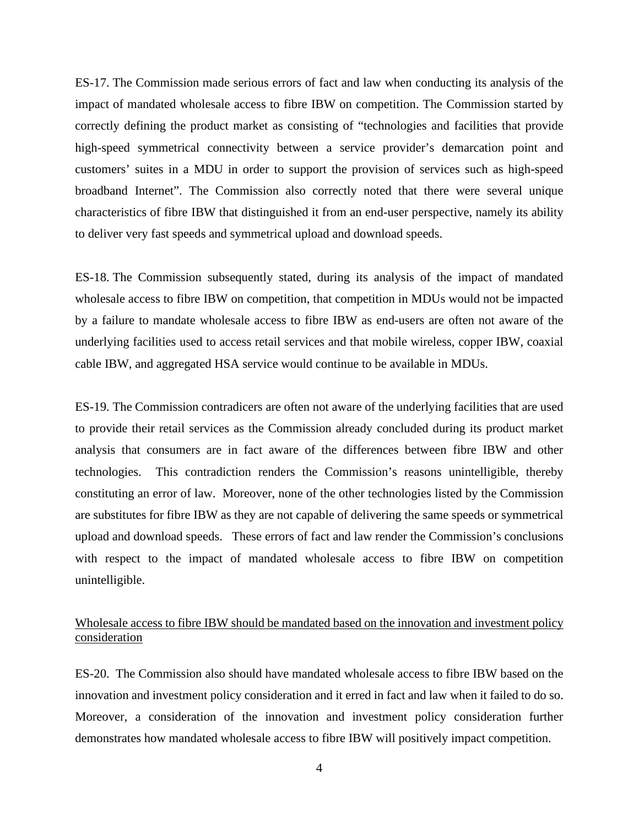ES-17. The Commission made serious errors of fact and law when conducting its analysis of the impact of mandated wholesale access to fibre IBW on competition. The Commission started by correctly defining the product market as consisting of "technologies and facilities that provide high-speed symmetrical connectivity between a service provider's demarcation point and customers' suites in a MDU in order to support the provision of services such as high-speed broadband Internet". The Commission also correctly noted that there were several unique characteristics of fibre IBW that distinguished it from an end-user perspective, namely its ability to deliver very fast speeds and symmetrical upload and download speeds.

ES-18. The Commission subsequently stated, during its analysis of the impact of mandated wholesale access to fibre IBW on competition, that competition in MDUs would not be impacted by a failure to mandate wholesale access to fibre IBW as end-users are often not aware of the underlying facilities used to access retail services and that mobile wireless, copper IBW, coaxial cable IBW, and aggregated HSA service would continue to be available in MDUs.

ES-19. The Commission contradicers are often not aware of the underlying facilities that are used to provide their retail services as the Commission already concluded during its product market analysis that consumers are in fact aware of the differences between fibre IBW and other technologies. This contradiction renders the Commission's reasons unintelligible, thereby constituting an error of law. Moreover, none of the other technologies listed by the Commission are substitutes for fibre IBW as they are not capable of delivering the same speeds or symmetrical upload and download speeds. These errors of fact and law render the Commission's conclusions with respect to the impact of mandated wholesale access to fibre IBW on competition unintelligible.

### Wholesale access to fibre IBW should be mandated based on the innovation and investment policy consideration

ES-20. The Commission also should have mandated wholesale access to fibre IBW based on the innovation and investment policy consideration and it erred in fact and law when it failed to do so. Moreover, a consideration of the innovation and investment policy consideration further demonstrates how mandated wholesale access to fibre IBW will positively impact competition.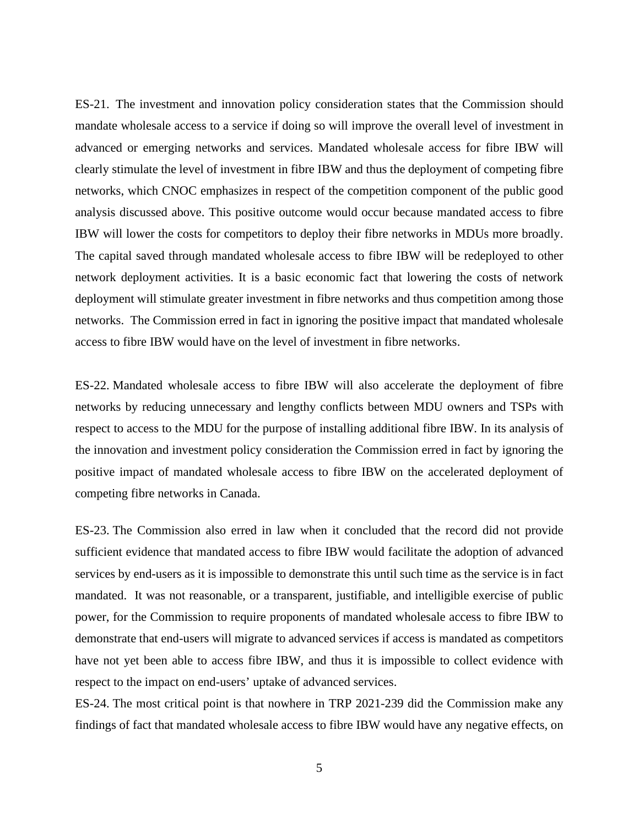ES-21. The investment and innovation policy consideration states that the Commission should mandate wholesale access to a service if doing so will improve the overall level of investment in advanced or emerging networks and services. Mandated wholesale access for fibre IBW will clearly stimulate the level of investment in fibre IBW and thus the deployment of competing fibre networks, which CNOC emphasizes in respect of the competition component of the public good analysis discussed above. This positive outcome would occur because mandated access to fibre IBW will lower the costs for competitors to deploy their fibre networks in MDUs more broadly. The capital saved through mandated wholesale access to fibre IBW will be redeployed to other network deployment activities. It is a basic economic fact that lowering the costs of network deployment will stimulate greater investment in fibre networks and thus competition among those networks. The Commission erred in fact in ignoring the positive impact that mandated wholesale access to fibre IBW would have on the level of investment in fibre networks.

ES-22. Mandated wholesale access to fibre IBW will also accelerate the deployment of fibre networks by reducing unnecessary and lengthy conflicts between MDU owners and TSPs with respect to access to the MDU for the purpose of installing additional fibre IBW. In its analysis of the innovation and investment policy consideration the Commission erred in fact by ignoring the positive impact of mandated wholesale access to fibre IBW on the accelerated deployment of competing fibre networks in Canada.

ES-23. The Commission also erred in law when it concluded that the record did not provide sufficient evidence that mandated access to fibre IBW would facilitate the adoption of advanced services by end-users as it is impossible to demonstrate this until such time as the service is in fact mandated. It was not reasonable, or a transparent, justifiable, and intelligible exercise of public power, for the Commission to require proponents of mandated wholesale access to fibre IBW to demonstrate that end-users will migrate to advanced services if access is mandated as competitors have not yet been able to access fibre IBW, and thus it is impossible to collect evidence with respect to the impact on end-users' uptake of advanced services.

ES-24. The most critical point is that nowhere in TRP 2021-239 did the Commission make any findings of fact that mandated wholesale access to fibre IBW would have any negative effects, on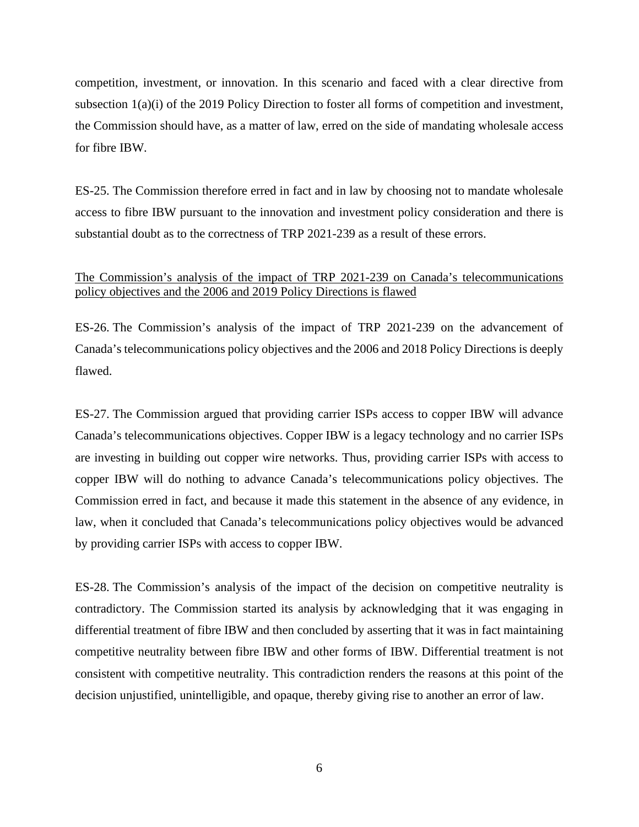competition, investment, or innovation. In this scenario and faced with a clear directive from subsection 1(a)(i) of the 2019 Policy Direction to foster all forms of competition and investment, the Commission should have, as a matter of law, erred on the side of mandating wholesale access for fibre IBW.

ES-25. The Commission therefore erred in fact and in law by choosing not to mandate wholesale access to fibre IBW pursuant to the innovation and investment policy consideration and there is substantial doubt as to the correctness of TRP 2021-239 as a result of these errors.

### The Commission's analysis of the impact of TRP 2021-239 on Canada's telecommunications policy objectives and the 2006 and 2019 Policy Directions is flawed

ES-26. The Commission's analysis of the impact of TRP 2021-239 on the advancement of Canada's telecommunications policy objectives and the 2006 and 2018 Policy Directions is deeply flawed.

ES-27. The Commission argued that providing carrier ISPs access to copper IBW will advance Canada's telecommunications objectives. Copper IBW is a legacy technology and no carrier ISPs are investing in building out copper wire networks. Thus, providing carrier ISPs with access to copper IBW will do nothing to advance Canada's telecommunications policy objectives. The Commission erred in fact, and because it made this statement in the absence of any evidence, in law, when it concluded that Canada's telecommunications policy objectives would be advanced by providing carrier ISPs with access to copper IBW.

ES-28. The Commission's analysis of the impact of the decision on competitive neutrality is contradictory. The Commission started its analysis by acknowledging that it was engaging in differential treatment of fibre IBW and then concluded by asserting that it was in fact maintaining competitive neutrality between fibre IBW and other forms of IBW. Differential treatment is not consistent with competitive neutrality. This contradiction renders the reasons at this point of the decision unjustified, unintelligible, and opaque, thereby giving rise to another an error of law.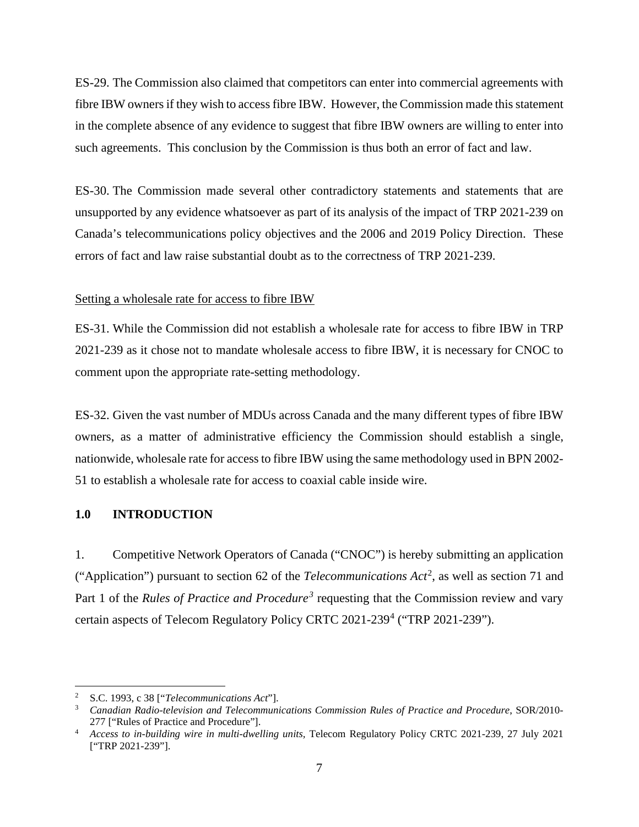ES-29. The Commission also claimed that competitors can enter into commercial agreements with fibre IBW owners if they wish to access fibre IBW. However, the Commission made this statement in the complete absence of any evidence to suggest that fibre IBW owners are willing to enter into such agreements. This conclusion by the Commission is thus both an error of fact and law.

ES-30. The Commission made several other contradictory statements and statements that are unsupported by any evidence whatsoever as part of its analysis of the impact of TRP 2021-239 on Canada's telecommunications policy objectives and the 2006 and 2019 Policy Direction. These errors of fact and law raise substantial doubt as to the correctness of TRP 2021-239.

#### Setting a wholesale rate for access to fibre IBW

ES-31. While the Commission did not establish a wholesale rate for access to fibre IBW in TRP 2021-239 as it chose not to mandate wholesale access to fibre IBW, it is necessary for CNOC to comment upon the appropriate rate-setting methodology.

ES-32. Given the vast number of MDUs across Canada and the many different types of fibre IBW owners, as a matter of administrative efficiency the Commission should establish a single, nationwide, wholesale rate for access to fibre IBW using the same methodology used in BPN 2002- 51 to establish a wholesale rate for access to coaxial cable inside wire.

### <span id="page-8-0"></span>**1.0 INTRODUCTION**

1. Competitive Network Operators of Canada ("CNOC") is hereby submitting an application ("Application") pursuant to section 6[2](#page-8-1) of the *Telecommunications Act*<sup>2</sup>, as well as section 71 and Part 1 of the *Rules of Practice and Procedure*<sup>[3](#page-8-2)</sup> requesting that the Commission review and vary certain aspects of Telecom Regulatory Policy CRTC  $2021-239^4$  $2021-239^4$  ("TRP  $2021-239$ ").

<span id="page-8-2"></span><span id="page-8-1"></span><sup>2</sup> S.C. 1993, c 38 ["*Telecommunications Act*"]. 3 *Canadian Radio-television and Telecommunications Commission Rules of Practice and Procedure*, SOR/2010- 277 ["Rules of Practice and Procedure"]. 4 *Access to in-building wire in multi-dwelling units,* Telecom Regulatory Policy CRTC 2021-239, 27 July 2021

<span id="page-8-3"></span><sup>[&</sup>quot;TRP 2021-239"].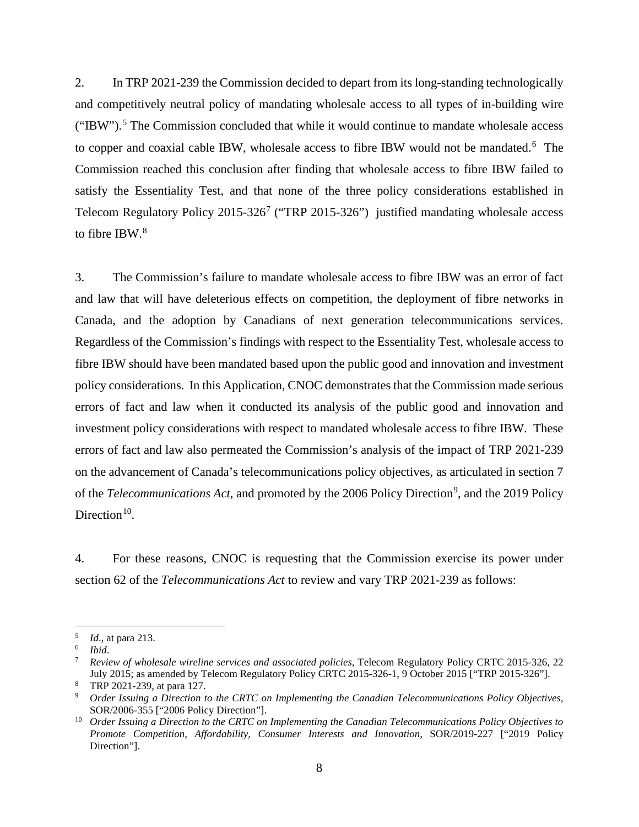2. In TRP 2021-239 the Commission decided to depart from its long-standing technologically and competitively neutral policy of mandating wholesale access to all types of in-building wire ("IBW").<sup>[5](#page-9-0)</sup> The Commission concluded that while it would continue to mandate wholesale access to copper and coaxial cable IBW, wholesale access to fibre IBW would not be mandated.<sup>[6](#page-9-1)</sup> The Commission reached this conclusion after finding that wholesale access to fibre IBW failed to satisfy the Essentiality Test, and that none of the three policy considerations established in Telecom Regulatory Policy  $2015-326^7$  $2015-326^7$  ("TRP  $2015-326$ ") justified mandating wholesale access to fibre IBW.<sup>[8](#page-9-3)</sup>

3. The Commission's failure to mandate wholesale access to fibre IBW was an error of fact and law that will have deleterious effects on competition, the deployment of fibre networks in Canada, and the adoption by Canadians of next generation telecommunications services. Regardless of the Commission's findings with respect to the Essentiality Test, wholesale access to fibre IBW should have been mandated based upon the public good and innovation and investment policy considerations. In this Application, CNOC demonstrates that the Commission made serious errors of fact and law when it conducted its analysis of the public good and innovation and investment policy considerations with respect to mandated wholesale access to fibre IBW. These errors of fact and law also permeated the Commission's analysis of the impact of TRP 2021-239 on the advancement of Canada's telecommunications policy objectives, as articulated in section 7 of the *Telecommunications Act*, and promoted by the 2006 Policy Direction<sup>[9](#page-9-4)</sup>, and the 2019 Policy Direction $10$ .

4. For these reasons, CNOC is requesting that the Commission exercise its power under section 62 of the *Telecommunications Act* to review and vary TRP 2021-239 as follows:

<span id="page-9-0"></span><sup>5</sup> *Id*., at para 213. 6 *Ibid*.

<span id="page-9-1"></span>

<span id="page-9-2"></span><sup>7</sup> *Review of wholesale wireline services and associated policies*, Telecom Regulatory Policy CRTC 2015-326, 22 July 2015; as amended by Telecom Regulatory Policy CRTC 2015-326-1, 9 October 2015 ["TRP 2015-326"].<br><sup>8</sup> TRP 2021-239, at para 127.

<span id="page-9-3"></span>

<span id="page-9-4"></span><sup>&</sup>lt;sup>9</sup> Order Issuing a Direction to the CRTC on Implementing the Canadian Telecommunications Policy Objectives, SOR/2006-355 ["2006 Policy Direction"].

<span id="page-9-5"></span><sup>10</sup> *Order Issuing a Direction to the CRTC on Implementing the Canadian Telecommunications Policy Objectives to Promote Competition, Affordability, Consumer Interests and Innovation*, SOR/2019-227 ["2019 Policy Direction"].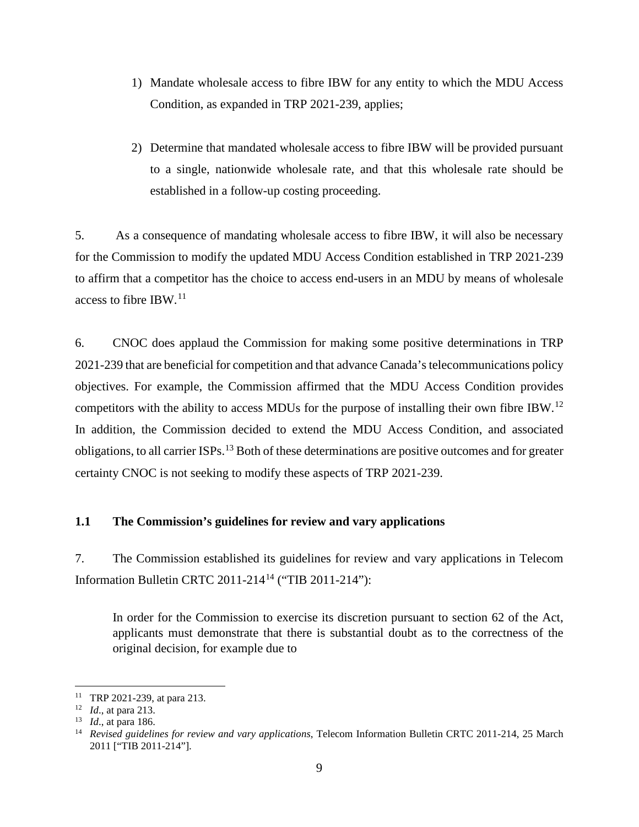- 1) Mandate wholesale access to fibre IBW for any entity to which the MDU Access Condition, as expanded in TRP 2021-239, applies;
- 2) Determine that mandated wholesale access to fibre IBW will be provided pursuant to a single, nationwide wholesale rate, and that this wholesale rate should be established in a follow-up costing proceeding.

5. As a consequence of mandating wholesale access to fibre IBW, it will also be necessary for the Commission to modify the updated MDU Access Condition established in TRP 2021-239 to affirm that a competitor has the choice to access end-users in an MDU by means of wholesale access to fibre IBW. $^{11}$  $^{11}$  $^{11}$ 

6. CNOC does applaud the Commission for making some positive determinations in TRP 2021-239 that are beneficial for competition and that advance Canada's telecommunications policy objectives. For example, the Commission affirmed that the MDU Access Condition provides competitors with the ability to access MDUs for the purpose of installing their own fibre IBW.[12](#page-10-2) In addition, the Commission decided to extend the MDU Access Condition, and associated obligations, to all carrier ISPs.[13](#page-10-3) Both of these determinations are positive outcomes and for greater certainty CNOC is not seeking to modify these aspects of TRP 2021-239.

#### <span id="page-10-0"></span>**1.1 The Commission's guidelines for review and vary applications**

7. The Commission established its guidelines for review and vary applications in Telecom Information Bulletin CRTC 2011-214[14](#page-10-4) ("TIB 2011-214"):

In order for the Commission to exercise its discretion pursuant to section 62 of the Act, applicants must demonstrate that there is substantial doubt as to the correctness of the original decision, for example due to

<span id="page-10-4"></span><span id="page-10-3"></span>

<span id="page-10-2"></span><span id="page-10-1"></span><sup>11</sup> TRP 2021-239, at para 213.<br><sup>12</sup> *Id.*, at para 213.<br><sup>13</sup> *Id.*, at para 186.<br><sup>14</sup> *Revised guidelines for review and vary applications*, Telecom Information Bulletin CRTC 2011-214, 25 March 2011 ["TIB 2011-214"].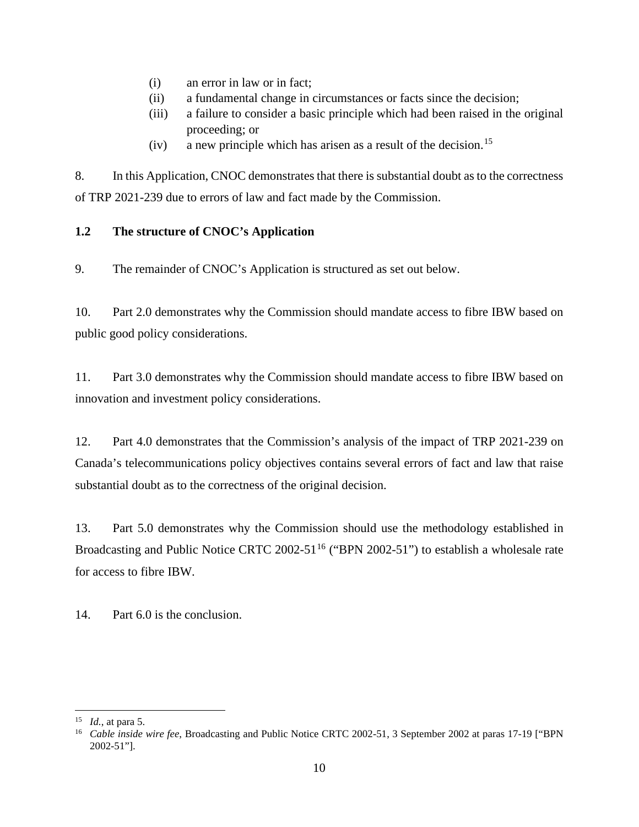- (i) an error in law or in fact;
- (ii) a fundamental change in circumstances or facts since the decision;
- (iii) a failure to consider a basic principle which had been raised in the original proceeding; or
- (iv) a new principle which has arisen as a result of the decision.<sup>[15](#page-11-1)</sup>

8. In this Application, CNOC demonstrates that there is substantial doubt as to the correctness of TRP 2021-239 due to errors of law and fact made by the Commission.

### <span id="page-11-0"></span>**1.2 The structure of CNOC's Application**

9. The remainder of CNOC's Application is structured as set out below.

10. Part 2.0 demonstrates why the Commission should mandate access to fibre IBW based on public good policy considerations.

11. Part 3.0 demonstrates why the Commission should mandate access to fibre IBW based on innovation and investment policy considerations.

12. Part 4.0 demonstrates that the Commission's analysis of the impact of TRP 2021-239 on Canada's telecommunications policy objectives contains several errors of fact and law that raise substantial doubt as to the correctness of the original decision.

13. Part 5.0 demonstrates why the Commission should use the methodology established in Broadcasting and Public Notice CRTC 2002-51<sup>[16](#page-11-2)</sup> ("BPN 2002-51") to establish a wholesale rate for access to fibre IBW.

14. Part 6.0 is the conclusion.

<span id="page-11-2"></span>

<span id="page-11-1"></span><sup>&</sup>lt;sup>15</sup> *Id.*, at para 5.<br><sup>16</sup> *Cable inside wire fee*, Broadcasting and Public Notice CRTC 2002-51, 3 September 2002 at paras 17-19 ["BPN 2002-51"].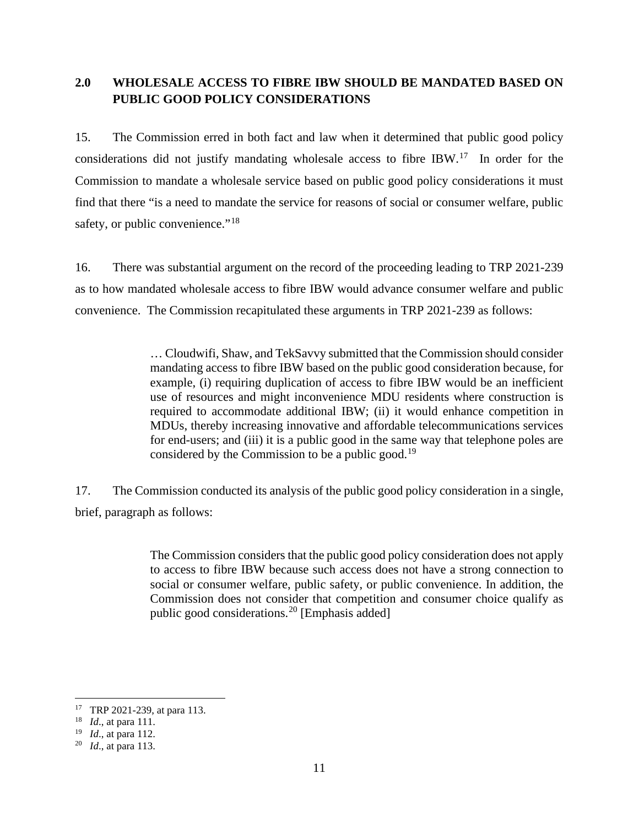### <span id="page-12-0"></span>**2.0 WHOLESALE ACCESS TO FIBRE IBW SHOULD BE MANDATED BASED ON PUBLIC GOOD POLICY CONSIDERATIONS**

15. The Commission erred in both fact and law when it determined that public good policy considerations did not justify mandating wholesale access to fibre IBW.<sup>17</sup> In order for the Commission to mandate a wholesale service based on public good policy considerations it must find that there "is a need to mandate the service for reasons of social or consumer welfare, public safety, or public convenience."<sup>[18](#page-12-2)</sup>

16. There was substantial argument on the record of the proceeding leading to TRP 2021-239 as to how mandated wholesale access to fibre IBW would advance consumer welfare and public convenience. The Commission recapitulated these arguments in TRP 2021-239 as follows:

> … Cloudwifi, Shaw, and TekSavvy submitted that the Commission should consider mandating access to fibre IBW based on the public good consideration because, for example, (i) requiring duplication of access to fibre IBW would be an inefficient use of resources and might inconvenience MDU residents where construction is required to accommodate additional IBW; (ii) it would enhance competition in MDUs, thereby increasing innovative and affordable telecommunications services for end-users; and (iii) it is a public good in the same way that telephone poles are considered by the Commission to be a public good.<sup>[19](#page-12-3)</sup>

17. The Commission conducted its analysis of the public good policy consideration in a single, brief, paragraph as follows:

> The Commission considers that the public good policy consideration does not apply to access to fibre IBW because such access does not have a strong connection to social or consumer welfare, public safety, or public convenience. In addition, the Commission does not consider that competition and consumer choice qualify as public good considerations.[20](#page-12-4) [Emphasis added]

<span id="page-12-1"></span><sup>17</sup> TRP 2021-239, at para 113. 18 *Id*., at para 111.

<span id="page-12-2"></span>

<span id="page-12-3"></span><sup>19</sup> *Id*., at para 112. 20 *Id*., at para 113.

<span id="page-12-4"></span>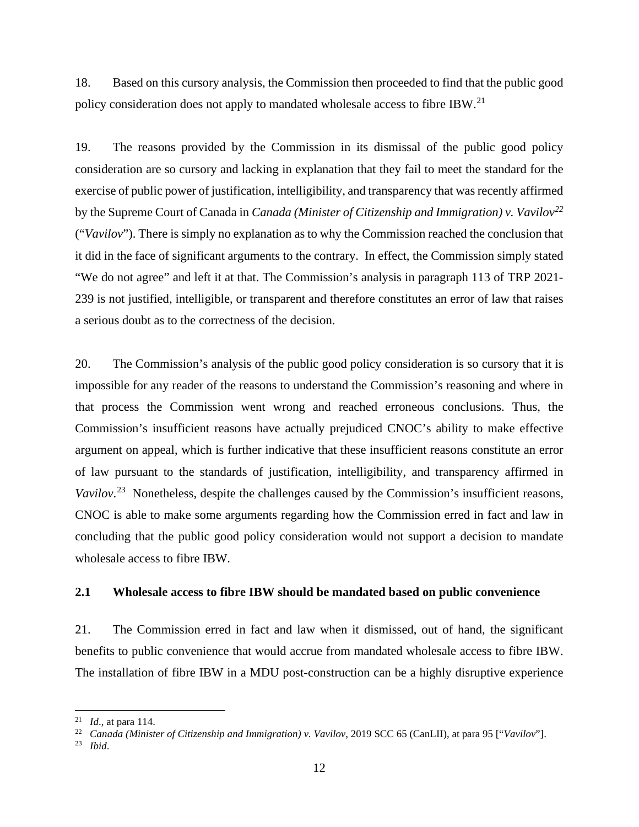18. Based on this cursory analysis, the Commission then proceeded to find that the public good policy consideration does not apply to mandated wholesale access to fibre IBW.<sup>[21](#page-13-1)</sup>

19. The reasons provided by the Commission in its dismissal of the public good policy consideration are so cursory and lacking in explanation that they fail to meet the standard for the exercise of public power of justification, intelligibility, and transparency that was recently affirmed by the Supreme Court of Canada in *Canada (Minister of Citizenship and Immigration) v. Vavilov[22](#page-13-2)* ("*Vavilov*"). There is simply no explanation as to why the Commission reached the conclusion that it did in the face of significant arguments to the contrary. In effect, the Commission simply stated "We do not agree" and left it at that. The Commission's analysis in paragraph 113 of TRP 2021- 239 is not justified, intelligible, or transparent and therefore constitutes an error of law that raises a serious doubt as to the correctness of the decision.

20. The Commission's analysis of the public good policy consideration is so cursory that it is impossible for any reader of the reasons to understand the Commission's reasoning and where in that process the Commission went wrong and reached erroneous conclusions. Thus, the Commission's insufficient reasons have actually prejudiced CNOC's ability to make effective argument on appeal, which is further indicative that these insufficient reasons constitute an error of law pursuant to the standards of justification, intelligibility, and transparency affirmed in *Vavilov*. [23](#page-13-3) Nonetheless, despite the challenges caused by the Commission's insufficient reasons, CNOC is able to make some arguments regarding how the Commission erred in fact and law in concluding that the public good policy consideration would not support a decision to mandate wholesale access to fibre IBW.

### <span id="page-13-0"></span>**2.1 Wholesale access to fibre IBW should be mandated based on public convenience**

21. The Commission erred in fact and law when it dismissed, out of hand, the significant benefits to public convenience that would accrue from mandated wholesale access to fibre IBW. The installation of fibre IBW in a MDU post-construction can be a highly disruptive experience

<span id="page-13-1"></span><sup>21</sup> *Id*., at para 114. 22 *Canada (Minister of Citizenship and Immigration) v. Vavilov*, 2019 SCC 65 (CanLII), at para 95 ["*Vavilov*"].

<span id="page-13-3"></span><span id="page-13-2"></span><sup>23</sup> *Ibid*.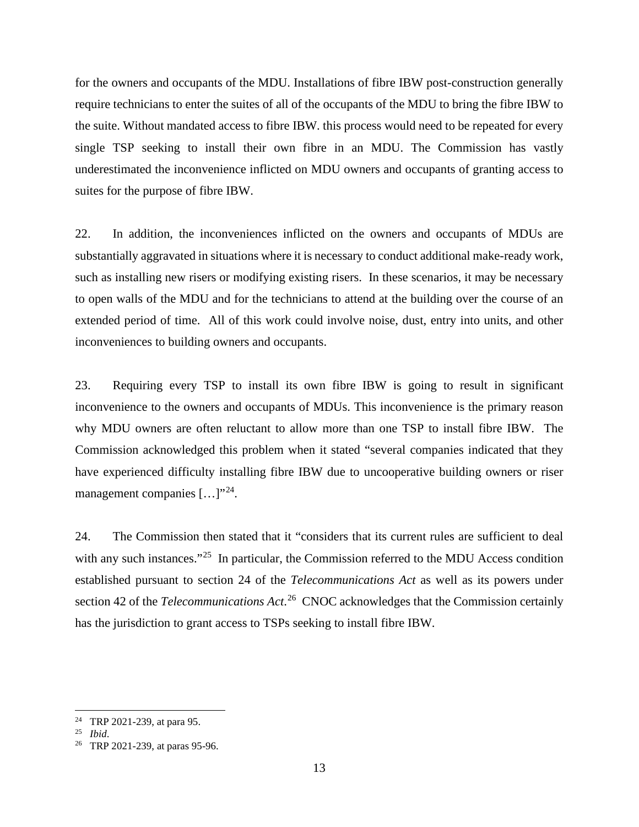for the owners and occupants of the MDU. Installations of fibre IBW post-construction generally require technicians to enter the suites of all of the occupants of the MDU to bring the fibre IBW to the suite. Without mandated access to fibre IBW. this process would need to be repeated for every single TSP seeking to install their own fibre in an MDU. The Commission has vastly underestimated the inconvenience inflicted on MDU owners and occupants of granting access to suites for the purpose of fibre IBW.

22. In addition, the inconveniences inflicted on the owners and occupants of MDUs are substantially aggravated in situations where it is necessary to conduct additional make-ready work, such as installing new risers or modifying existing risers. In these scenarios, it may be necessary to open walls of the MDU and for the technicians to attend at the building over the course of an extended period of time. All of this work could involve noise, dust, entry into units, and other inconveniences to building owners and occupants.

23. Requiring every TSP to install its own fibre IBW is going to result in significant inconvenience to the owners and occupants of MDUs. This inconvenience is the primary reason why MDU owners are often reluctant to allow more than one TSP to install fibre IBW. The Commission acknowledged this problem when it stated "several companies indicated that they have experienced difficulty installing fibre IBW due to uncooperative building owners or riser management companies [...]"<sup>24</sup>.

24. The Commission then stated that it "considers that its current rules are sufficient to deal with any such instances."<sup>25</sup> In particular, the Commission referred to the MDU Access condition established pursuant to section 24 of the *Telecommunications Act* as well as its powers under section 42 of the *Telecommunications Act*.<sup>26</sup> CNOC acknowledges that the Commission certainly has the jurisdiction to grant access to TSPs seeking to install fibre IBW.

<span id="page-14-0"></span><sup>24</sup> TRP 2021-239, at para 95. 25 *Ibid*.

<span id="page-14-1"></span>

<span id="page-14-2"></span><sup>26</sup> TRP 2021-239, at paras 95-96.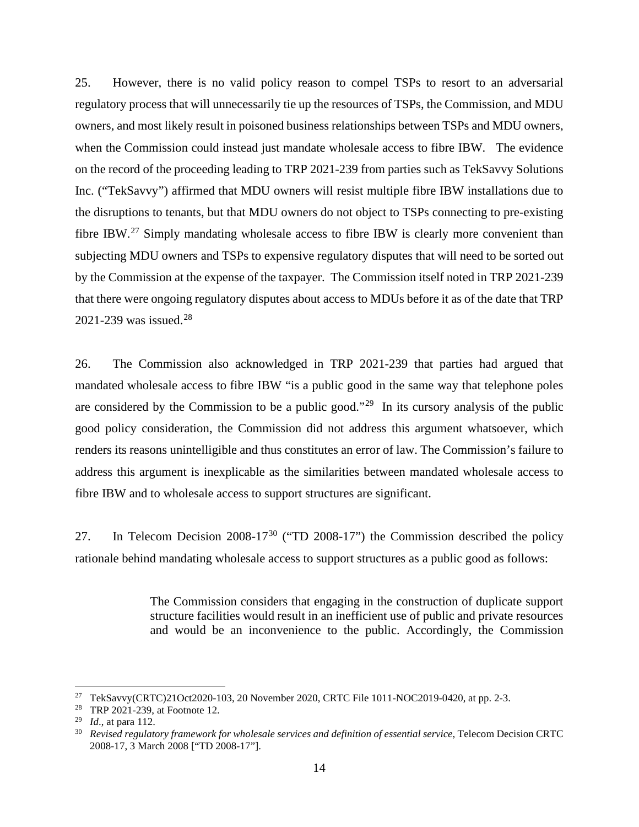25. However, there is no valid policy reason to compel TSPs to resort to an adversarial regulatory process that will unnecessarily tie up the resources of TSPs, the Commission, and MDU owners, and most likely result in poisoned business relationships between TSPs and MDU owners, when the Commission could instead just mandate wholesale access to fibre IBW. The evidence on the record of the proceeding leading to TRP 2021-239 from parties such as TekSavvy Solutions Inc. ("TekSavvy") affirmed that MDU owners will resist multiple fibre IBW installations due to the disruptions to tenants, but that MDU owners do not object to TSPs connecting to pre-existing fibre IBW.<sup>[27](#page-15-0)</sup> Simply mandating wholesale access to fibre IBW is clearly more convenient than subjecting MDU owners and TSPs to expensive regulatory disputes that will need to be sorted out by the Commission at the expense of the taxpayer. The Commission itself noted in TRP 2021-239 that there were ongoing regulatory disputes about access to MDUs before it as of the date that TRP 2021-239 was issued.[28](#page-15-1)

26. The Commission also acknowledged in TRP 2021-239 that parties had argued that mandated wholesale access to fibre IBW "is a public good in the same way that telephone poles are considered by the Commission to be a public good."<sup>[29](#page-15-2)</sup> In its cursory analysis of the public good policy consideration, the Commission did not address this argument whatsoever, which renders its reasons unintelligible and thus constitutes an error of law. The Commission's failure to address this argument is inexplicable as the similarities between mandated wholesale access to fibre IBW and to wholesale access to support structures are significant.

27. In Telecom Decision  $2008-17^{30}$  $2008-17^{30}$  $2008-17^{30}$  ("TD  $2008-17$ ") the Commission described the policy rationale behind mandating wholesale access to support structures as a public good as follows:

> The Commission considers that engaging in the construction of duplicate support structure facilities would result in an inefficient use of public and private resources and would be an inconvenience to the public. Accordingly, the Commission

<span id="page-15-1"></span><span id="page-15-0"></span><sup>&</sup>lt;sup>27</sup> TekSavvy(CRTC)21Oct2020-103, 20 November 2020, CRTC File 1011-NOC2019-0420, at pp. 2-3.<br><sup>28</sup> TRP 2021-239, at Footnote 12.<br><sup>29</sup> Id., at para 112.

<span id="page-15-2"></span>

<span id="page-15-3"></span><sup>&</sup>lt;sup>30</sup> *Revised regulatory framework for wholesale services and definition of essential service*, Telecom Decision CRTC 2008-17, 3 March 2008 ["TD 2008-17"].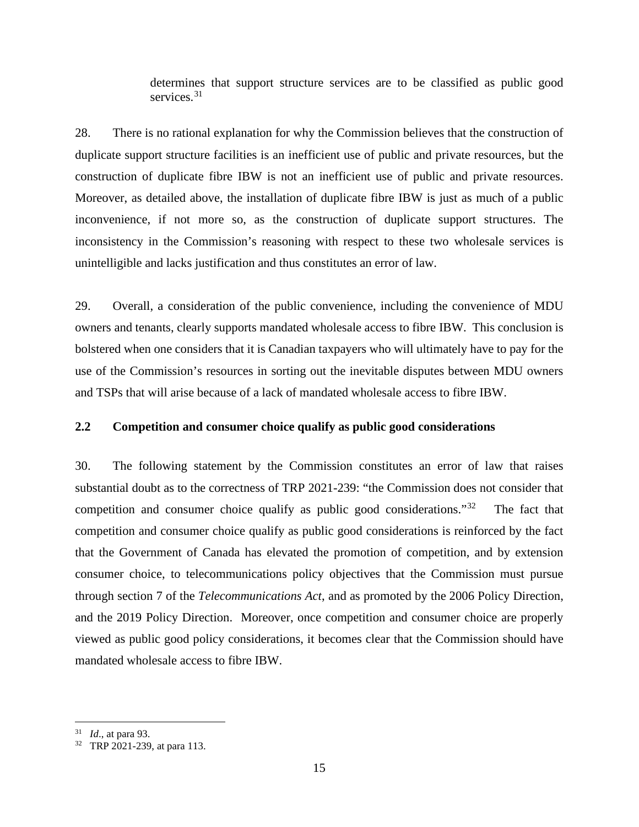determines that support structure services are to be classified as public good services.<sup>[31](#page-16-1)</sup>

28. There is no rational explanation for why the Commission believes that the construction of duplicate support structure facilities is an inefficient use of public and private resources, but the construction of duplicate fibre IBW is not an inefficient use of public and private resources. Moreover, as detailed above, the installation of duplicate fibre IBW is just as much of a public inconvenience, if not more so, as the construction of duplicate support structures. The inconsistency in the Commission's reasoning with respect to these two wholesale services is unintelligible and lacks justification and thus constitutes an error of law.

29. Overall, a consideration of the public convenience, including the convenience of MDU owners and tenants, clearly supports mandated wholesale access to fibre IBW. This conclusion is bolstered when one considers that it is Canadian taxpayers who will ultimately have to pay for the use of the Commission's resources in sorting out the inevitable disputes between MDU owners and TSPs that will arise because of a lack of mandated wholesale access to fibre IBW.

#### <span id="page-16-0"></span>**2.2 Competition and consumer choice qualify as public good considerations**

30. The following statement by the Commission constitutes an error of law that raises substantial doubt as to the correctness of TRP 2021-239: "the Commission does not consider that competition and consumer choice qualify as public good considerations.<sup> $32$ </sup> The fact that competition and consumer choice qualify as public good considerations is reinforced by the fact that the Government of Canada has elevated the promotion of competition, and by extension consumer choice, to telecommunications policy objectives that the Commission must pursue through section 7 of the *Telecommunications Act*, and as promoted by the 2006 Policy Direction, and the 2019 Policy Direction. Moreover, once competition and consumer choice are properly viewed as public good policy considerations, it becomes clear that the Commission should have mandated wholesale access to fibre IBW.

<span id="page-16-2"></span>

<span id="page-16-1"></span><sup>31</sup> *Id*., at para 93. 32 TRP 2021-239, at para 113.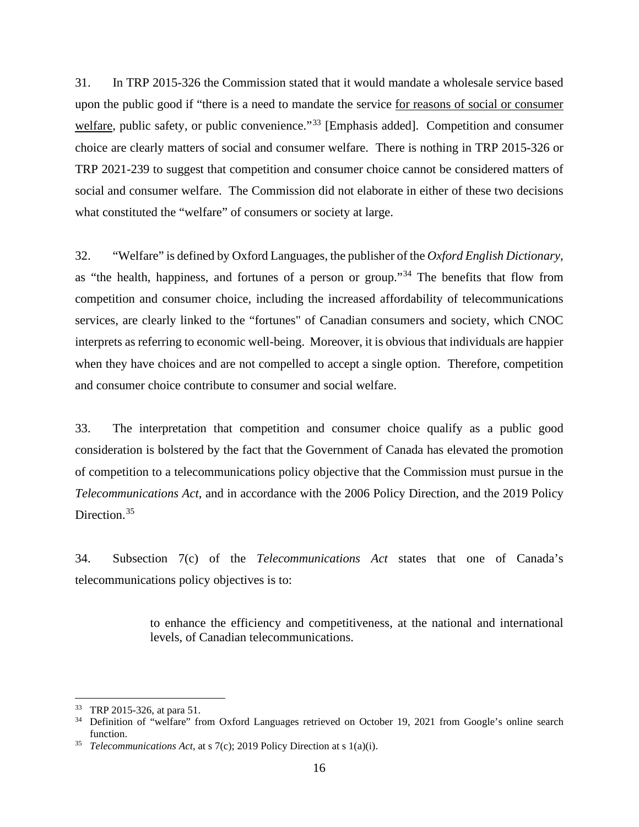31. In TRP 2015-326 the Commission stated that it would mandate a wholesale service based upon the public good if "there is a need to mandate the service for reasons of social or consumer welfare, public safety, or public convenience."<sup>[33](#page-17-0)</sup> [Emphasis added]. Competition and consumer choice are clearly matters of social and consumer welfare. There is nothing in TRP 2015-326 or TRP 2021-239 to suggest that competition and consumer choice cannot be considered matters of social and consumer welfare. The Commission did not elaborate in either of these two decisions what constituted the "welfare" of consumers or society at large.

32. "Welfare" is defined by Oxford Languages, the publisher of the *Oxford English Dictionary*, as "the health, happiness, and fortunes of a person or group."[34](#page-17-1) The benefits that flow from competition and consumer choice, including the increased affordability of telecommunications services, are clearly linked to the "fortunes" of Canadian consumers and society, which CNOC interprets as referring to economic well-being. Moreover, it is obvious that individuals are happier when they have choices and are not compelled to accept a single option. Therefore, competition and consumer choice contribute to consumer and social welfare.

33. The interpretation that competition and consumer choice qualify as a public good consideration is bolstered by the fact that the Government of Canada has elevated the promotion of competition to a telecommunications policy objective that the Commission must pursue in the *Telecommunications Act*, and in accordance with the 2006 Policy Direction, and the 2019 Policy Direction.<sup>[35](#page-17-2)</sup>

34. Subsection 7(c) of the *Telecommunications Act* states that one of Canada's telecommunications policy objectives is to:

> to enhance the efficiency and competitiveness, at the national and international levels, of Canadian telecommunications.

<span id="page-17-1"></span><span id="page-17-0"></span><sup>&</sup>lt;sup>33</sup> TRP 2015-326, at para 51.<br><sup>34</sup> Definition of "welfare" from Oxford Languages retrieved on October 19, 2021 from Google's online search function.<br>*Telecommunications Act*, at s 7(c); 2019 Policy Direction at s 1(a)(i).

<span id="page-17-2"></span>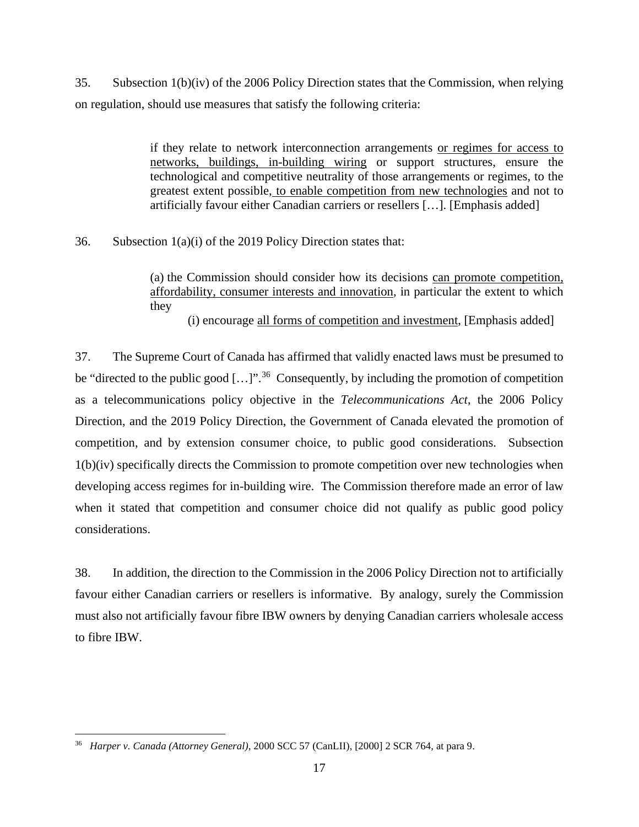35. Subsection 1(b)(iv) of the 2006 Policy Direction states that the Commission, when relying on regulation, should use measures that satisfy the following criteria:

> if they relate to network interconnection arrangements or regimes for access to networks, buildings, in-building wiring or support structures, ensure the technological and competitive neutrality of those arrangements or regimes, to the greatest extent possible, to enable competition from new technologies and not to artificially favour either Canadian carriers or resellers […]. [Emphasis added]

36. Subsection 1(a)(i) of the 2019 Policy Direction states that:

(a) the Commission should consider how its decisions can promote competition, affordability, consumer interests and innovation, in particular the extent to which they

(i) encourage all forms of competition and investment, [Emphasis added]

37. The Supreme Court of Canada has affirmed that validly enacted laws must be presumed to be "directed to the public good  $[...]$ ".<sup>[36](#page-18-0)</sup> Consequently, by including the promotion of competition as a telecommunications policy objective in the *Telecommunications Act*, the 2006 Policy Direction, and the 2019 Policy Direction, the Government of Canada elevated the promotion of competition, and by extension consumer choice, to public good considerations. Subsection 1(b)(iv) specifically directs the Commission to promote competition over new technologies when developing access regimes for in-building wire. The Commission therefore made an error of law when it stated that competition and consumer choice did not qualify as public good policy considerations.

38. In addition, the direction to the Commission in the 2006 Policy Direction not to artificially favour either Canadian carriers or resellers is informative. By analogy, surely the Commission must also not artificially favour fibre IBW owners by denying Canadian carriers wholesale access to fibre IBW.

<span id="page-18-0"></span><sup>36</sup> *Harper v. Canada (Attorney General)*, 2000 SCC 57 (CanLII), [2000] 2 SCR 764, at para 9.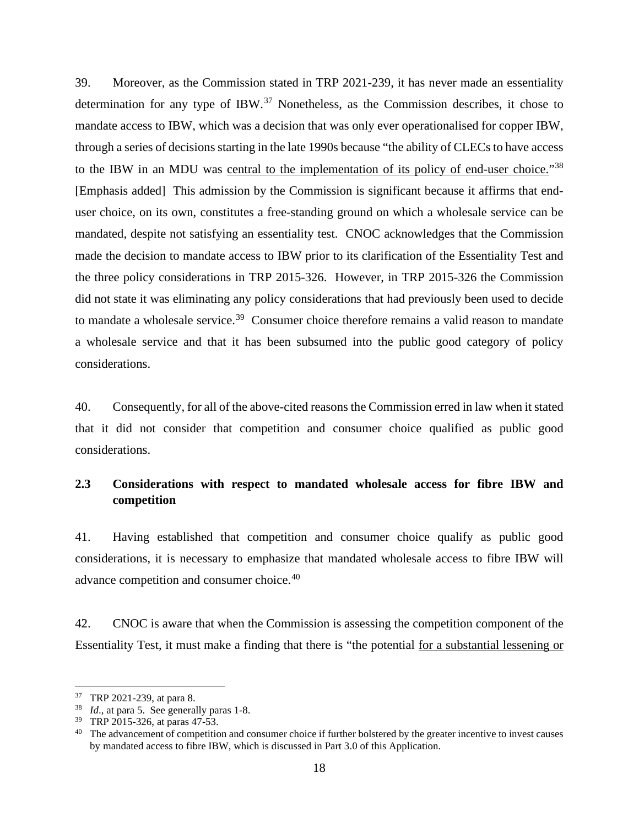39. Moreover, as the Commission stated in TRP 2021-239, it has never made an essentiality determination for any type of IBW.<sup>[37](#page-19-1)</sup> Nonetheless, as the Commission describes, it chose to mandate access to IBW, which was a decision that was only ever operationalised for copper IBW, through a series of decisions starting in the late 1990s because "the ability of CLECs to have access to the IBW in an MDU was central to the implementation of its policy of end-user choice."<sup>[38](#page-19-2)</sup> [Emphasis added] This admission by the Commission is significant because it affirms that enduser choice, on its own, constitutes a free-standing ground on which a wholesale service can be mandated, despite not satisfying an essentiality test. CNOC acknowledges that the Commission made the decision to mandate access to IBW prior to its clarification of the Essentiality Test and the three policy considerations in TRP 2015-326. However, in TRP 2015-326 the Commission did not state it was eliminating any policy considerations that had previously been used to decide to mandate a wholesale service.<sup>[39](#page-19-3)</sup> Consumer choice therefore remains a valid reason to mandate a wholesale service and that it has been subsumed into the public good category of policy considerations.

40. Consequently, for all of the above-cited reasons the Commission erred in law when it stated that it did not consider that competition and consumer choice qualified as public good considerations.

### <span id="page-19-0"></span>**2.3 Considerations with respect to mandated wholesale access for fibre IBW and competition**

41. Having established that competition and consumer choice qualify as public good considerations, it is necessary to emphasize that mandated wholesale access to fibre IBW will advance competition and consumer choice.[40](#page-19-4)

42. CNOC is aware that when the Commission is assessing the competition component of the Essentiality Test, it must make a finding that there is "the potential for a substantial lessening or

<span id="page-19-2"></span><span id="page-19-1"></span><sup>&</sup>lt;sup>37</sup> TRP 2021-239, at para 8.<br><sup>38</sup> *Id.*, at para 5. See generally paras 1-8.<br><sup>39</sup> TRP 2015-326, at paras 47-53.

<span id="page-19-4"></span><span id="page-19-3"></span><sup>&</sup>lt;sup>40</sup> The advancement of competition and consumer choice if further bolstered by the greater incentive to invest causes by mandated access to fibre IBW, which is discussed in Part 3.0 of this Application.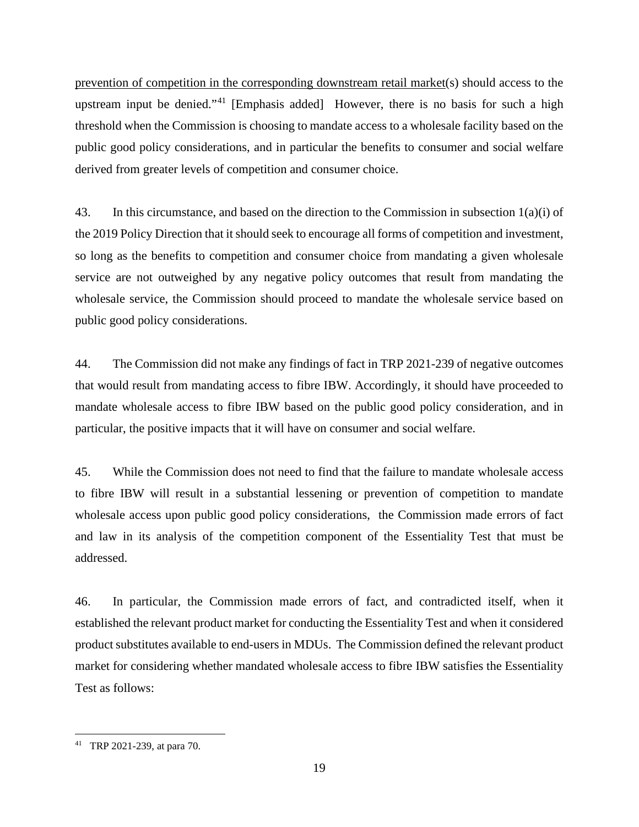prevention of competition in the corresponding downstream retail market(s) should access to the upstream input be denied."[41](#page-20-0) [Emphasis added] However, there is no basis for such a high threshold when the Commission is choosing to mandate access to a wholesale facility based on the public good policy considerations, and in particular the benefits to consumer and social welfare derived from greater levels of competition and consumer choice.

43. In this circumstance, and based on the direction to the Commission in subsection 1(a)(i) of the 2019 Policy Direction that it should seek to encourage all forms of competition and investment, so long as the benefits to competition and consumer choice from mandating a given wholesale service are not outweighed by any negative policy outcomes that result from mandating the wholesale service, the Commission should proceed to mandate the wholesale service based on public good policy considerations.

44. The Commission did not make any findings of fact in TRP 2021-239 of negative outcomes that would result from mandating access to fibre IBW. Accordingly, it should have proceeded to mandate wholesale access to fibre IBW based on the public good policy consideration, and in particular, the positive impacts that it will have on consumer and social welfare.

45. While the Commission does not need to find that the failure to mandate wholesale access to fibre IBW will result in a substantial lessening or prevention of competition to mandate wholesale access upon public good policy considerations, the Commission made errors of fact and law in its analysis of the competition component of the Essentiality Test that must be addressed.

46. In particular, the Commission made errors of fact, and contradicted itself, when it established the relevant product market for conducting the Essentiality Test and when it considered product substitutes available to end-users in MDUs. The Commission defined the relevant product market for considering whether mandated wholesale access to fibre IBW satisfies the Essentiality Test as follows:

<span id="page-20-0"></span><sup>41</sup> TRP 2021-239, at para 70.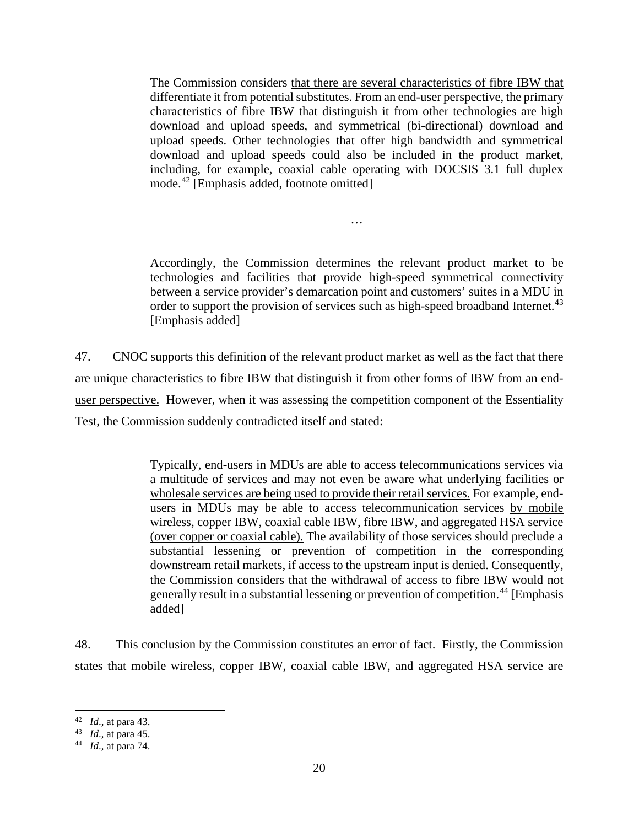The Commission considers that there are several characteristics of fibre IBW that differentiate it from potential substitutes. From an end-user perspective, the primary characteristics of fibre IBW that distinguish it from other technologies are high download and upload speeds, and symmetrical (bi-directional) download and upload speeds. Other technologies that offer high bandwidth and symmetrical download and upload speeds could also be included in the product market, including, for example, coaxial cable operating with DOCSIS 3.1 full duplex mode.[42](#page-21-0) [Emphasis added, footnote omitted]

Accordingly, the Commission determines the relevant product market to be technologies and facilities that provide high-speed symmetrical connectivity between a service provider's demarcation point and customers' suites in a MDU in order to support the provision of services such as high-speed broadband Internet.<sup>[43](#page-21-1)</sup> [Emphasis added]

…

47. CNOC supports this definition of the relevant product market as well as the fact that there are unique characteristics to fibre IBW that distinguish it from other forms of IBW from an enduser perspective. However, when it was assessing the competition component of the Essentiality Test, the Commission suddenly contradicted itself and stated:

> Typically, end-users in MDUs are able to access telecommunications services via a multitude of services and may not even be aware what underlying facilities or wholesale services are being used to provide their retail services. For example, endusers in MDUs may be able to access telecommunication services by mobile wireless, copper IBW, coaxial cable IBW, fibre IBW, and aggregated HSA service (over copper or coaxial cable). The availability of those services should preclude a substantial lessening or prevention of competition in the corresponding downstream retail markets, if access to the upstream input is denied. Consequently, the Commission considers that the withdrawal of access to fibre IBW would not generally result in a substantial lessening or prevention of competition.<sup>[44](#page-21-2)</sup> [Emphasis added]

48. This conclusion by the Commission constitutes an error of fact. Firstly, the Commission states that mobile wireless, copper IBW, coaxial cable IBW, and aggregated HSA service are

<span id="page-21-0"></span><sup>42</sup> *Id*., at para 43. 43 *Id*., at para 45. 44 *Id*., at para 74.

<span id="page-21-1"></span>

<span id="page-21-2"></span>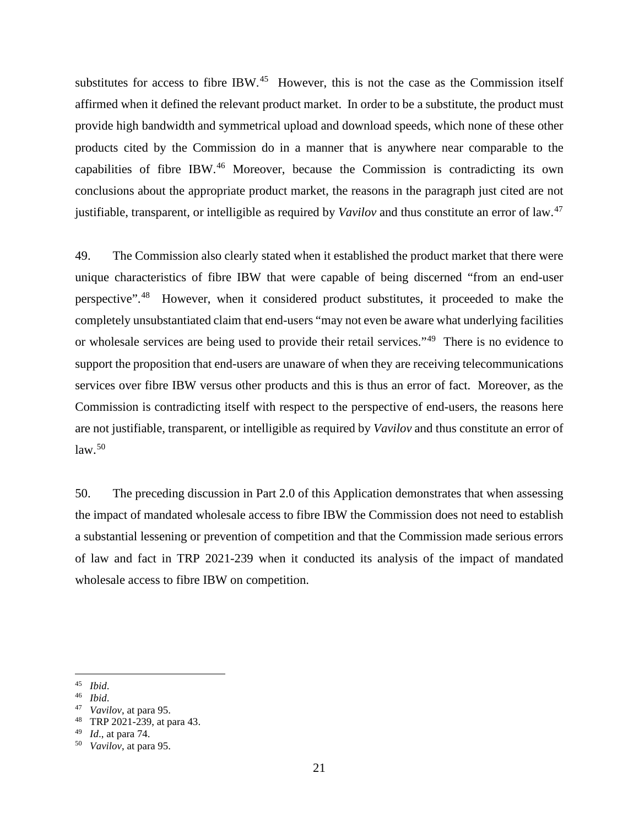substitutes for access to fibre IBW.<sup>[45](#page-22-0)</sup> However, this is not the case as the Commission itself affirmed when it defined the relevant product market. In order to be a substitute, the product must provide high bandwidth and symmetrical upload and download speeds, which none of these other products cited by the Commission do in a manner that is anywhere near comparable to the capabilities of fibre IBW.[46](#page-22-1) Moreover, because the Commission is contradicting its own conclusions about the appropriate product market, the reasons in the paragraph just cited are not justifiable, transparent, or intelligible as required by *Vavilov* and thus constitute an error of law.[47](#page-22-2)

49. The Commission also clearly stated when it established the product market that there were unique characteristics of fibre IBW that were capable of being discerned "from an end-user perspective".[48](#page-22-3) However, when it considered product substitutes, it proceeded to make the completely unsubstantiated claim that end-users "may not even be aware what underlying facilities or wholesale services are being used to provide their retail services."[49](#page-22-4) There is no evidence to support the proposition that end-users are unaware of when they are receiving telecommunications services over fibre IBW versus other products and this is thus an error of fact. Moreover, as the Commission is contradicting itself with respect to the perspective of end-users, the reasons here are not justifiable, transparent, or intelligible as required by *Vavilov* and thus constitute an error of  $law.<sup>50</sup>$  $law.<sup>50</sup>$  $law.<sup>50</sup>$ 

50. The preceding discussion in Part 2.0 of this Application demonstrates that when assessing the impact of mandated wholesale access to fibre IBW the Commission does not need to establish a substantial lessening or prevention of competition and that the Commission made serious errors of law and fact in TRP 2021-239 when it conducted its analysis of the impact of mandated wholesale access to fibre IBW on competition.

<span id="page-22-0"></span><sup>45</sup> *Ibid*.

<span id="page-22-1"></span><sup>46</sup> *Ibid*.

<span id="page-22-2"></span><sup>47</sup> *Vavilov*, at para 95.

<span id="page-22-3"></span><sup>48</sup> TRP 2021-239, at para 43.

<span id="page-22-5"></span>

<span id="page-22-4"></span><sup>49</sup> *Id*., at para 74. 50 *Vavilov*, at para 95.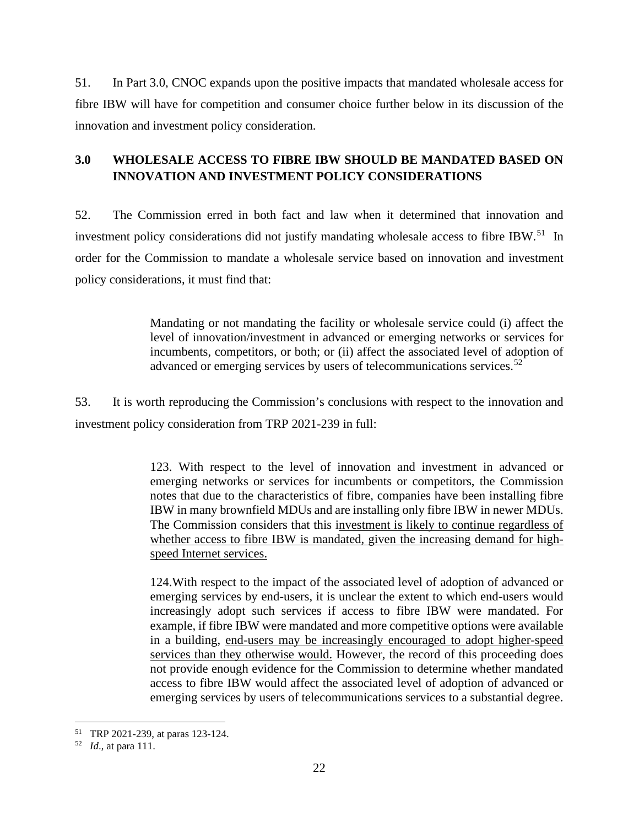51. In Part 3.0, CNOC expands upon the positive impacts that mandated wholesale access for fibre IBW will have for competition and consumer choice further below in its discussion of the innovation and investment policy consideration.

### <span id="page-23-0"></span>**3.0 WHOLESALE ACCESS TO FIBRE IBW SHOULD BE MANDATED BASED ON INNOVATION AND INVESTMENT POLICY CONSIDERATIONS**

52. The Commission erred in both fact and law when it determined that innovation and investment policy considerations did not justify mandating wholesale access to fibre IBW.<sup>51</sup> In order for the Commission to mandate a wholesale service based on innovation and investment policy considerations, it must find that:

> Mandating or not mandating the facility or wholesale service could (i) affect the level of innovation/investment in advanced or emerging networks or services for incumbents, competitors, or both; or (ii) affect the associated level of adoption of advanced or emerging services by users of telecommunications services.<sup>[52](#page-23-2)</sup>

53. It is worth reproducing the Commission's conclusions with respect to the innovation and investment policy consideration from TRP 2021-239 in full:

> 123. With respect to the level of innovation and investment in advanced or emerging networks or services for incumbents or competitors, the Commission notes that due to the characteristics of fibre, companies have been installing fibre IBW in many brownfield MDUs and are installing only fibre IBW in newer MDUs. The Commission considers that this investment is likely to continue regardless of whether access to fibre IBW is mandated, given the increasing demand for highspeed Internet services.

> 124.With respect to the impact of the associated level of adoption of advanced or emerging services by end-users, it is unclear the extent to which end-users would increasingly adopt such services if access to fibre IBW were mandated. For example, if fibre IBW were mandated and more competitive options were available in a building, end-users may be increasingly encouraged to adopt higher-speed services than they otherwise would. However, the record of this proceeding does not provide enough evidence for the Commission to determine whether mandated access to fibre IBW would affect the associated level of adoption of advanced or emerging services by users of telecommunications services to a substantial degree.

<span id="page-23-2"></span><span id="page-23-1"></span><sup>51</sup> TRP 2021-239, at paras 123-124. 52 *Id*., at para 111.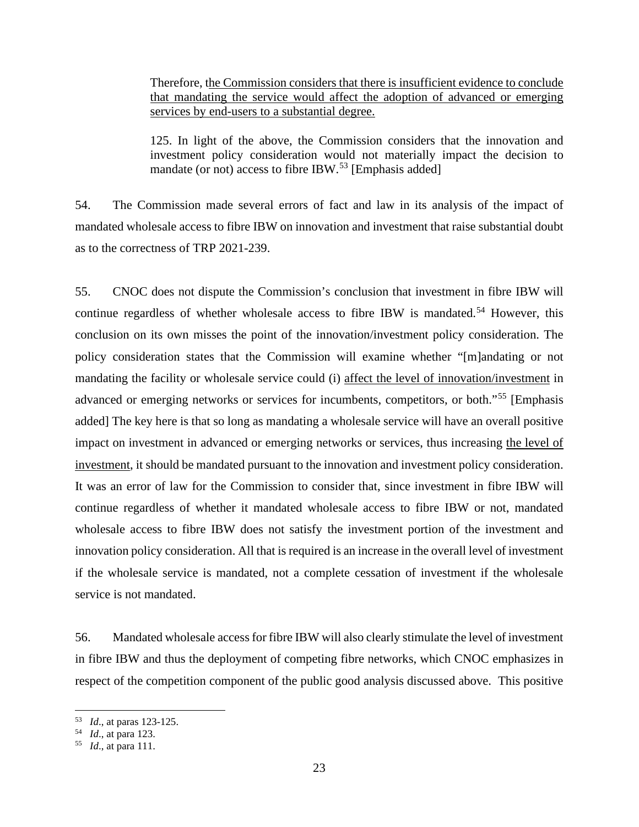Therefore, the Commission considers that there is insufficient evidence to conclude that mandating the service would affect the adoption of advanced or emerging services by end-users to a substantial degree.

125. In light of the above, the Commission considers that the innovation and investment policy consideration would not materially impact the decision to mandate (or not) access to fibre IBW.<sup>[53](#page-24-0)</sup> [Emphasis added]

54. The Commission made several errors of fact and law in its analysis of the impact of mandated wholesale access to fibre IBW on innovation and investment that raise substantial doubt as to the correctness of TRP 2021-239.

55. CNOC does not dispute the Commission's conclusion that investment in fibre IBW will continue regardless of whether wholesale access to fibre IBW is mandated.<sup>[54](#page-24-1)</sup> However, this conclusion on its own misses the point of the innovation/investment policy consideration. The policy consideration states that the Commission will examine whether "[m]andating or not mandating the facility or wholesale service could (i) affect the level of innovation/investment in advanced or emerging networks or services for incumbents, competitors, or both."[55](#page-24-2) [Emphasis added] The key here is that so long as mandating a wholesale service will have an overall positive impact on investment in advanced or emerging networks or services, thus increasing the level of investment, it should be mandated pursuant to the innovation and investment policy consideration. It was an error of law for the Commission to consider that, since investment in fibre IBW will continue regardless of whether it mandated wholesale access to fibre IBW or not, mandated wholesale access to fibre IBW does not satisfy the investment portion of the investment and innovation policy consideration. All that is required is an increase in the overall level of investment if the wholesale service is mandated, not a complete cessation of investment if the wholesale service is not mandated.

56. Mandated wholesale access for fibre IBW will also clearly stimulate the level of investment in fibre IBW and thus the deployment of competing fibre networks, which CNOC emphasizes in respect of the competition component of the public good analysis discussed above. This positive

<span id="page-24-1"></span><span id="page-24-0"></span><sup>53</sup> *Id*., at paras 123-125. 54 *Id*., at para 123. 55 *Id*., at para 111.

<span id="page-24-2"></span>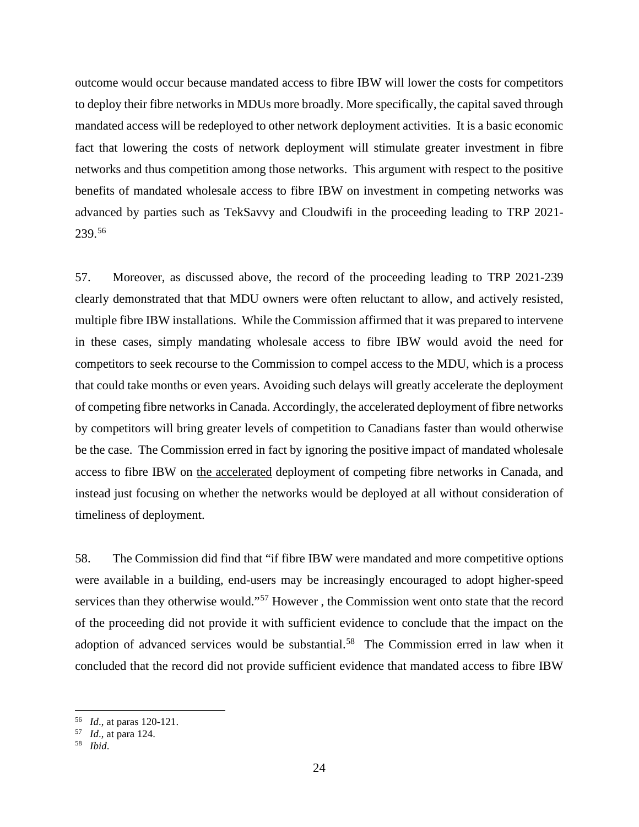outcome would occur because mandated access to fibre IBW will lower the costs for competitors to deploy their fibre networks in MDUs more broadly. More specifically, the capital saved through mandated access will be redeployed to other network deployment activities. It is a basic economic fact that lowering the costs of network deployment will stimulate greater investment in fibre networks and thus competition among those networks. This argument with respect to the positive benefits of mandated wholesale access to fibre IBW on investment in competing networks was advanced by parties such as TekSavvy and Cloudwifi in the proceeding leading to TRP 2021- 239. [56](#page-25-0)

57. Moreover, as discussed above, the record of the proceeding leading to TRP 2021-239 clearly demonstrated that that MDU owners were often reluctant to allow, and actively resisted, multiple fibre IBW installations. While the Commission affirmed that it was prepared to intervene in these cases, simply mandating wholesale access to fibre IBW would avoid the need for competitors to seek recourse to the Commission to compel access to the MDU, which is a process that could take months or even years. Avoiding such delays will greatly accelerate the deployment of competing fibre networks in Canada. Accordingly, the accelerated deployment of fibre networks by competitors will bring greater levels of competition to Canadians faster than would otherwise be the case. The Commission erred in fact by ignoring the positive impact of mandated wholesale access to fibre IBW on the accelerated deployment of competing fibre networks in Canada, and instead just focusing on whether the networks would be deployed at all without consideration of timeliness of deployment.

58. The Commission did find that "if fibre IBW were mandated and more competitive options were available in a building, end-users may be increasingly encouraged to adopt higher-speed services than they otherwise would."[57](#page-25-1) However , the Commission went onto state that the record of the proceeding did not provide it with sufficient evidence to conclude that the impact on the adoption of advanced services would be substantial.<sup>[58](#page-25-2)</sup> The Commission erred in law when it concluded that the record did not provide sufficient evidence that mandated access to fibre IBW

<span id="page-25-0"></span><sup>56</sup> *Id*., at paras 120-121. 57 *Id*., at para 124. 58 *Ibid*.

<span id="page-25-2"></span><span id="page-25-1"></span>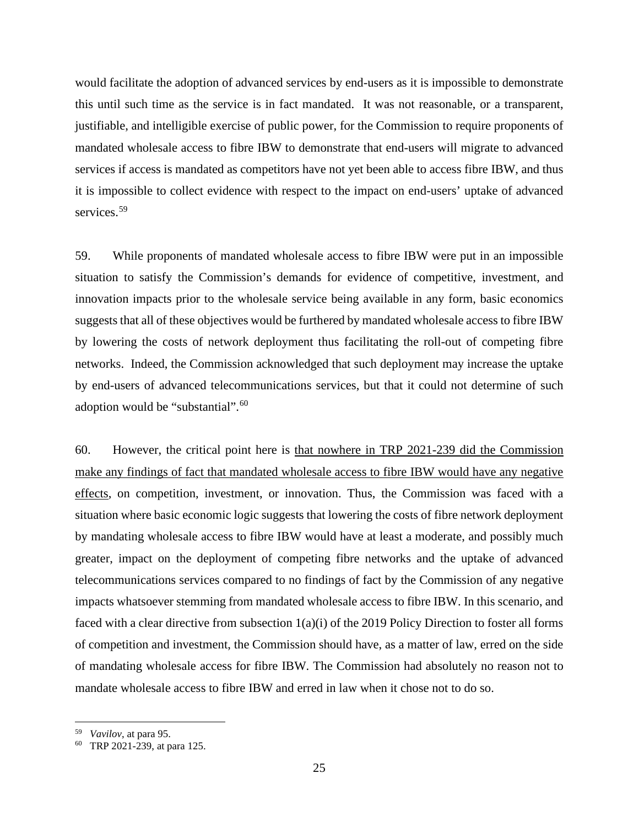would facilitate the adoption of advanced services by end-users as it is impossible to demonstrate this until such time as the service is in fact mandated. It was not reasonable, or a transparent, justifiable, and intelligible exercise of public power, for the Commission to require proponents of mandated wholesale access to fibre IBW to demonstrate that end-users will migrate to advanced services if access is mandated as competitors have not yet been able to access fibre IBW, and thus it is impossible to collect evidence with respect to the impact on end-users' uptake of advanced services. [59](#page-26-0)

59. While proponents of mandated wholesale access to fibre IBW were put in an impossible situation to satisfy the Commission's demands for evidence of competitive, investment, and innovation impacts prior to the wholesale service being available in any form, basic economics suggests that all of these objectives would be furthered by mandated wholesale access to fibre IBW by lowering the costs of network deployment thus facilitating the roll-out of competing fibre networks. Indeed, the Commission acknowledged that such deployment may increase the uptake by end-users of advanced telecommunications services, but that it could not determine of such adoption would be "substantial".<sup>[60](#page-26-1)</sup>

60. However, the critical point here is that nowhere in TRP 2021-239 did the Commission make any findings of fact that mandated wholesale access to fibre IBW would have any negative effects, on competition, investment, or innovation. Thus, the Commission was faced with a situation where basic economic logic suggests that lowering the costs of fibre network deployment by mandating wholesale access to fibre IBW would have at least a moderate, and possibly much greater, impact on the deployment of competing fibre networks and the uptake of advanced telecommunications services compared to no findings of fact by the Commission of any negative impacts whatsoever stemming from mandated wholesale access to fibre IBW. In this scenario, and faced with a clear directive from subsection 1(a)(i) of the 2019 Policy Direction to foster all forms of competition and investment, the Commission should have, as a matter of law, erred on the side of mandating wholesale access for fibre IBW. The Commission had absolutely no reason not to mandate wholesale access to fibre IBW and erred in law when it chose not to do so.

<span id="page-26-0"></span><sup>59</sup> *Vavilov*, at para 95.

<span id="page-26-1"></span>TRP 2021-239, at para 125.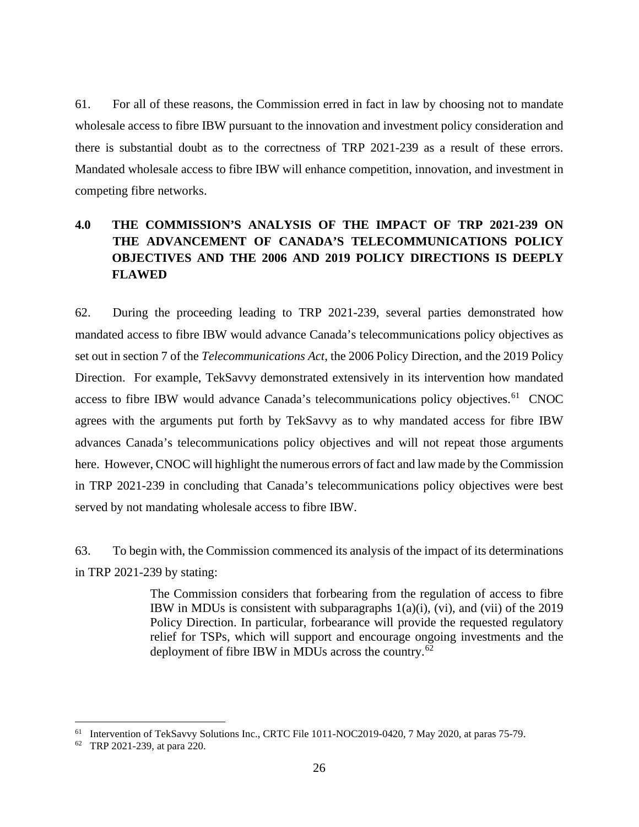61. For all of these reasons, the Commission erred in fact in law by choosing not to mandate wholesale access to fibre IBW pursuant to the innovation and investment policy consideration and there is substantial doubt as to the correctness of TRP 2021-239 as a result of these errors. Mandated wholesale access to fibre IBW will enhance competition, innovation, and investment in competing fibre networks.

## <span id="page-27-0"></span>**4.0 THE COMMISSION'S ANALYSIS OF THE IMPACT OF TRP 2021-239 ON THE ADVANCEMENT OF CANADA'S TELECOMMUNICATIONS POLICY OBJECTIVES AND THE 2006 AND 2019 POLICY DIRECTIONS IS DEEPLY FLAWED**

62. During the proceeding leading to TRP 2021-239, several parties demonstrated how mandated access to fibre IBW would advance Canada's telecommunications policy objectives as set out in section 7 of the *Telecommunications Act*, the 2006 Policy Direction, and the 2019 Policy Direction. For example, TekSavvy demonstrated extensively in its intervention how mandated access to fibre IBW would advance Canada's telecommunications policy objectives.<sup>[61](#page-27-1)</sup> CNOC agrees with the arguments put forth by TekSavvy as to why mandated access for fibre IBW advances Canada's telecommunications policy objectives and will not repeat those arguments here. However, CNOC will highlight the numerous errors of fact and law made by the Commission in TRP 2021-239 in concluding that Canada's telecommunications policy objectives were best served by not mandating wholesale access to fibre IBW.

63. To begin with, the Commission commenced its analysis of the impact of its determinations in TRP 2021-239 by stating:

> The Commission considers that forbearing from the regulation of access to fibre IBW in MDUs is consistent with subparagraphs  $1(a)(i)$ ,  $(vi)$ , and  $(vii)$  of the 2019 Policy Direction. In particular, forbearance will provide the requested regulatory relief for TSPs, which will support and encourage ongoing investments and the deployment of fibre IBW in MDUs across the country.<sup>[62](#page-27-2)</sup>

<span id="page-27-1"></span><sup>&</sup>lt;sup>61</sup> Intervention of TekSavvy Solutions Inc., CRTC File 1011-NOC2019-0420, 7 May 2020, at paras 75-79.<br><sup>62</sup> TRP 2021-239, at para 220.

<span id="page-27-2"></span>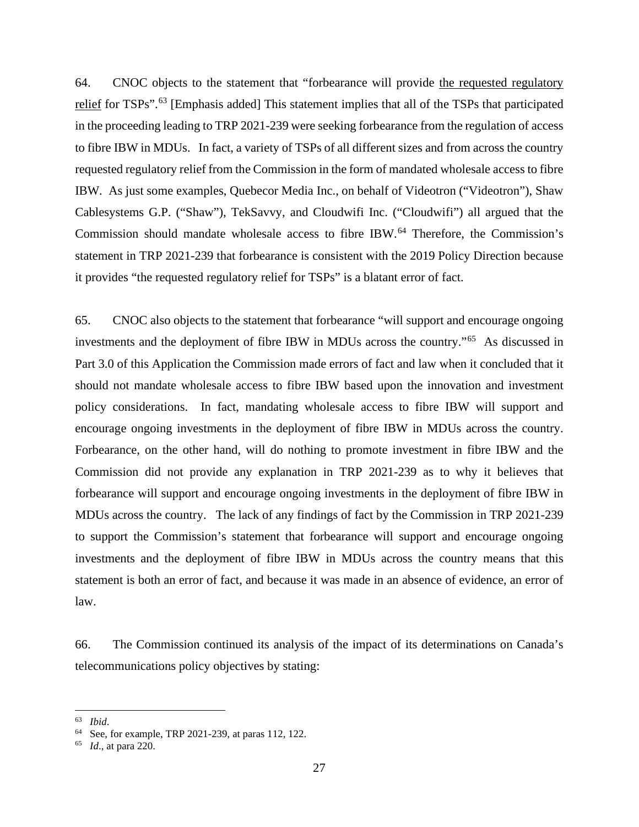64. CNOC objects to the statement that "forbearance will provide the requested regulatory relief for TSPs".<sup>[63](#page-28-0)</sup> [Emphasis added] This statement implies that all of the TSPs that participated in the proceeding leading to TRP 2021-239 were seeking forbearance from the regulation of access to fibre IBW in MDUs. In fact, a variety of TSPs of all different sizes and from across the country requested regulatory relief from the Commission in the form of mandated wholesale access to fibre IBW. As just some examples, Quebecor Media Inc., on behalf of Videotron ("Videotron"), Shaw Cablesystems G.P. ("Shaw"), TekSavvy, and Cloudwifi Inc. ("Cloudwifi") all argued that the Commission should mandate wholesale access to fibre IBW.<sup>[64](#page-28-1)</sup> Therefore, the Commission's statement in TRP 2021-239 that forbearance is consistent with the 2019 Policy Direction because it provides "the requested regulatory relief for TSPs" is a blatant error of fact.

65. CNOC also objects to the statement that forbearance "will support and encourage ongoing investments and the deployment of fibre IBW in MDUs across the country."[65](#page-28-2) As discussed in Part 3.0 of this Application the Commission made errors of fact and law when it concluded that it should not mandate wholesale access to fibre IBW based upon the innovation and investment policy considerations. In fact, mandating wholesale access to fibre IBW will support and encourage ongoing investments in the deployment of fibre IBW in MDUs across the country. Forbearance, on the other hand, will do nothing to promote investment in fibre IBW and the Commission did not provide any explanation in TRP 2021-239 as to why it believes that forbearance will support and encourage ongoing investments in the deployment of fibre IBW in MDUs across the country. The lack of any findings of fact by the Commission in TRP 2021-239 to support the Commission's statement that forbearance will support and encourage ongoing investments and the deployment of fibre IBW in MDUs across the country means that this statement is both an error of fact, and because it was made in an absence of evidence, an error of law.

66. The Commission continued its analysis of the impact of its determinations on Canada's telecommunications policy objectives by stating:

<span id="page-28-0"></span><sup>63</sup> *Ibid*.

<span id="page-28-2"></span><span id="page-28-1"></span><sup>64</sup> See, for example, TRP 2021-239, at paras 112, 122.

*Id.*, at para 220.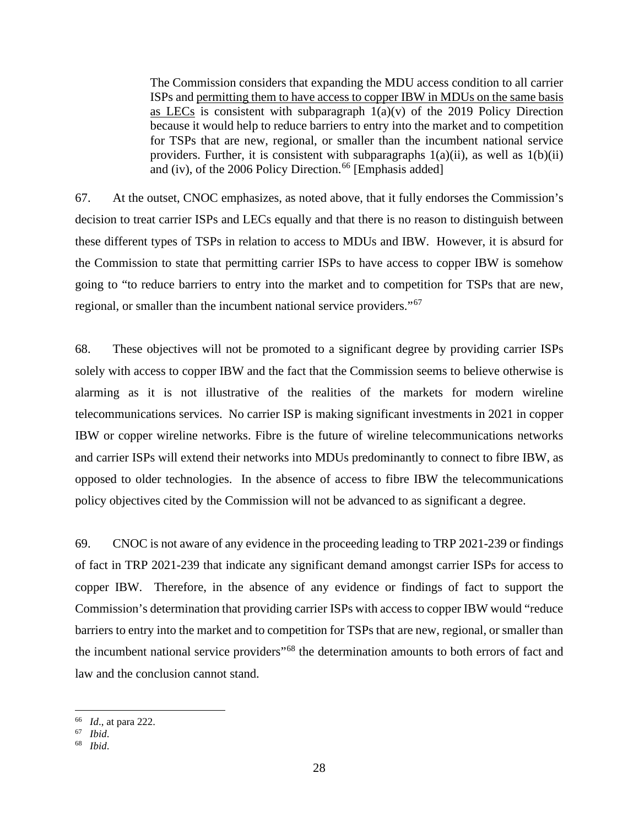The Commission considers that expanding the MDU access condition to all carrier ISPs and permitting them to have access to copper IBW in MDUs on the same basis as LECs is consistent with subparagraph  $1(a)(v)$  of the 2019 Policy Direction because it would help to reduce barriers to entry into the market and to competition for TSPs that are new, regional, or smaller than the incumbent national service providers. Further, it is consistent with subparagraphs  $1(a)(ii)$ , as well as  $1(b)(ii)$ and (iv), of the 2006 Policy Direction.<sup>[66](#page-29-0)</sup> [Emphasis added]

67. At the outset, CNOC emphasizes, as noted above, that it fully endorses the Commission's decision to treat carrier ISPs and LECs equally and that there is no reason to distinguish between these different types of TSPs in relation to access to MDUs and IBW. However, it is absurd for the Commission to state that permitting carrier ISPs to have access to copper IBW is somehow going to "to reduce barriers to entry into the market and to competition for TSPs that are new, regional, or smaller than the incumbent national service providers."[67](#page-29-1) 

68. These objectives will not be promoted to a significant degree by providing carrier ISPs solely with access to copper IBW and the fact that the Commission seems to believe otherwise is alarming as it is not illustrative of the realities of the markets for modern wireline telecommunications services. No carrier ISP is making significant investments in 2021 in copper IBW or copper wireline networks. Fibre is the future of wireline telecommunications networks and carrier ISPs will extend their networks into MDUs predominantly to connect to fibre IBW, as opposed to older technologies. In the absence of access to fibre IBW the telecommunications policy objectives cited by the Commission will not be advanced to as significant a degree.

69. CNOC is not aware of any evidence in the proceeding leading to TRP 2021-239 or findings of fact in TRP 2021-239 that indicate any significant demand amongst carrier ISPs for access to copper IBW. Therefore, in the absence of any evidence or findings of fact to support the Commission's determination that providing carrier ISPs with access to copper IBW would "reduce barriers to entry into the market and to competition for TSPs that are new, regional, or smaller than the incumbent national service providers"[68](#page-29-2) the determination amounts to both errors of fact and law and the conclusion cannot stand.

<span id="page-29-0"></span><sup>66</sup> *Id*., at para 222. 67 *Ibid*.

<span id="page-29-2"></span><span id="page-29-1"></span>

<sup>68</sup> *Ibid*.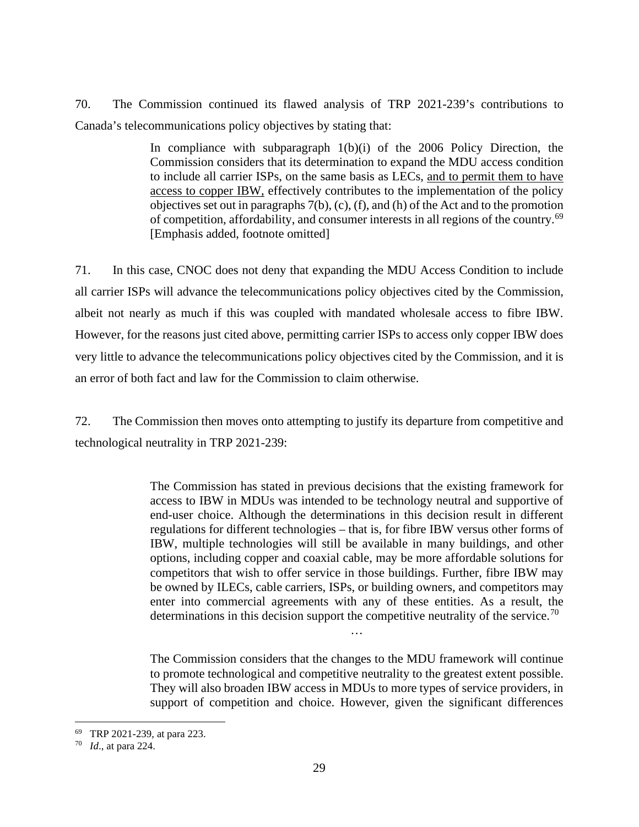70. The Commission continued its flawed analysis of TRP 2021-239's contributions to Canada's telecommunications policy objectives by stating that:

> In compliance with subparagraph  $1(b)(i)$  of the 2006 Policy Direction, the Commission considers that its determination to expand the MDU access condition to include all carrier ISPs, on the same basis as LECs, and to permit them to have access to copper IBW, effectively contributes to the implementation of the policy objectives set out in paragraphs 7(b), (c), (f), and (h) of the Act and to the promotion of competition, affordability, and consumer interests in all regions of the country.[69](#page-30-0) [Emphasis added, footnote omitted]

71. In this case, CNOC does not deny that expanding the MDU Access Condition to include all carrier ISPs will advance the telecommunications policy objectives cited by the Commission, albeit not nearly as much if this was coupled with mandated wholesale access to fibre IBW. However, for the reasons just cited above, permitting carrier ISPs to access only copper IBW does very little to advance the telecommunications policy objectives cited by the Commission, and it is an error of both fact and law for the Commission to claim otherwise.

72. The Commission then moves onto attempting to justify its departure from competitive and technological neutrality in TRP 2021-239:

> The Commission has stated in previous decisions that the existing framework for access to IBW in MDUs was intended to be technology neutral and supportive of end-user choice. Although the determinations in this decision result in different regulations for different technologies – that is, for fibre IBW versus other forms of IBW, multiple technologies will still be available in many buildings, and other options, including copper and coaxial cable, may be more affordable solutions for competitors that wish to offer service in those buildings. Further, fibre IBW may be owned by ILECs, cable carriers, ISPs, or building owners, and competitors may enter into commercial agreements with any of these entities. As a result, the determinations in this decision support the competitive neutrality of the service.<sup>[70](#page-30-1)</sup>

> > …

The Commission considers that the changes to the MDU framework will continue to promote technological and competitive neutrality to the greatest extent possible. They will also broaden IBW access in MDUs to more types of service providers, in support of competition and choice. However, given the significant differences

<span id="page-30-1"></span><span id="page-30-0"></span><sup>69</sup> TRP 2021-239, at para 223. 70 *Id*., at para 224.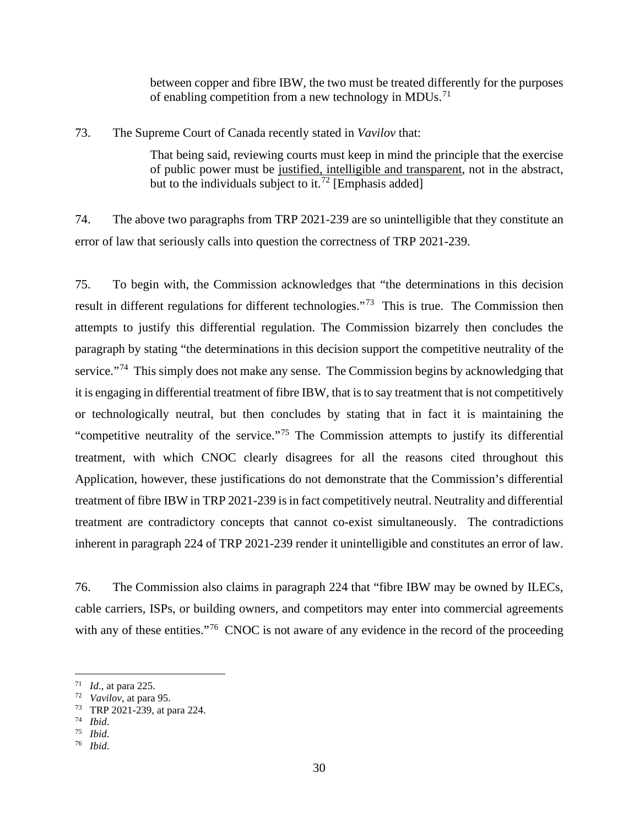between copper and fibre IBW, the two must be treated differently for the purposes of enabling competition from a new technology in MDUs.<sup>[71](#page-31-0)</sup>

73. The Supreme Court of Canada recently stated in *Vavilov* that:

That being said, reviewing courts must keep in mind the principle that the exercise of public power must be justified, intelligible and transparent, not in the abstract, but to the individuals subject to it.<sup>[72](#page-31-1)</sup> [Emphasis added]

74. The above two paragraphs from TRP 2021-239 are so unintelligible that they constitute an error of law that seriously calls into question the correctness of TRP 2021-239.

75. To begin with, the Commission acknowledges that "the determinations in this decision result in different regulations for different technologies."<sup>73</sup> This is true. The Commission then attempts to justify this differential regulation. The Commission bizarrely then concludes the paragraph by stating "the determinations in this decision support the competitive neutrality of the service."<sup>[74](#page-31-3)</sup> This simply does not make any sense. The Commission begins by acknowledging that it is engaging in differential treatment of fibre IBW, that is to say treatment that is not competitively or technologically neutral, but then concludes by stating that in fact it is maintaining the "competitive neutrality of the service."<sup>[75](#page-31-4)</sup> The Commission attempts to justify its differential treatment, with which CNOC clearly disagrees for all the reasons cited throughout this Application, however, these justifications do not demonstrate that the Commission's differential treatment of fibre IBW in TRP 2021-239 is in fact competitively neutral. Neutrality and differential treatment are contradictory concepts that cannot co-exist simultaneously. The contradictions inherent in paragraph 224 of TRP 2021-239 render it unintelligible and constitutes an error of law.

76. The Commission also claims in paragraph 224 that "fibre IBW may be owned by ILECs, cable carriers, ISPs, or building owners, and competitors may enter into commercial agreements with any of these entities."<sup>[76](#page-31-5)</sup> CNOC is not aware of any evidence in the record of the proceeding

<span id="page-31-1"></span><span id="page-31-0"></span><sup>71</sup> *Id*., at para 225. 72 *Vavilov*, at para 95. 73 TRP 2021-239, at para 224. 74 *Ibid*.

<span id="page-31-3"></span><span id="page-31-2"></span>

<span id="page-31-5"></span><span id="page-31-4"></span><sup>75</sup> *Ibid*.

<sup>76</sup> *Ibid*.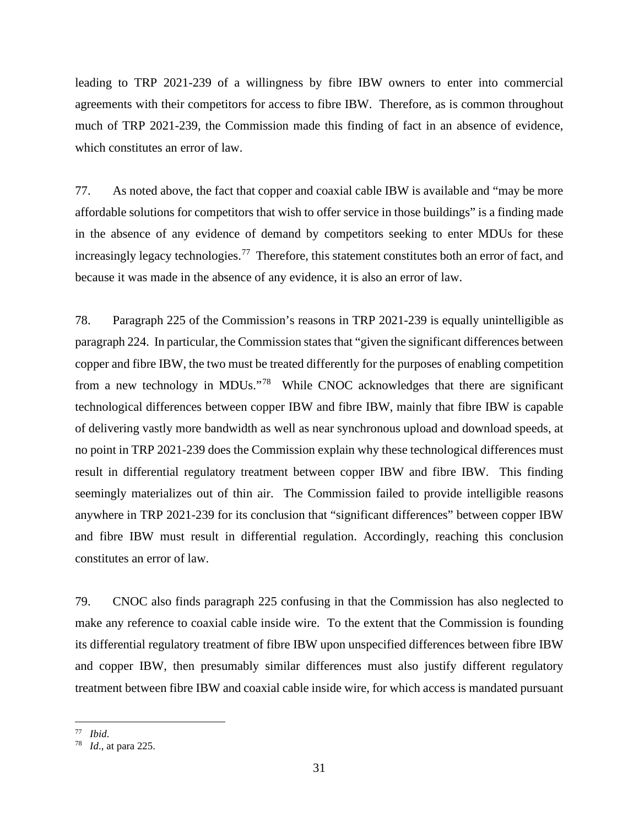leading to TRP 2021-239 of a willingness by fibre IBW owners to enter into commercial agreements with their competitors for access to fibre IBW. Therefore, as is common throughout much of TRP 2021-239, the Commission made this finding of fact in an absence of evidence, which constitutes an error of law.

77. As noted above, the fact that copper and coaxial cable IBW is available and "may be more affordable solutions for competitors that wish to offer service in those buildings" is a finding made in the absence of any evidence of demand by competitors seeking to enter MDUs for these increasingly legacy technologies.<sup>77</sup> Therefore, this statement constitutes both an error of fact, and because it was made in the absence of any evidence, it is also an error of law.

78. Paragraph 225 of the Commission's reasons in TRP 2021-239 is equally unintelligible as paragraph 224. In particular, the Commission states that "given the significant differences between copper and fibre IBW, the two must be treated differently for the purposes of enabling competition from a new technology in MDUs."[78](#page-32-1) While CNOC acknowledges that there are significant technological differences between copper IBW and fibre IBW, mainly that fibre IBW is capable of delivering vastly more bandwidth as well as near synchronous upload and download speeds, at no point in TRP 2021-239 does the Commission explain why these technological differences must result in differential regulatory treatment between copper IBW and fibre IBW. This finding seemingly materializes out of thin air. The Commission failed to provide intelligible reasons anywhere in TRP 2021-239 for its conclusion that "significant differences" between copper IBW and fibre IBW must result in differential regulation. Accordingly, reaching this conclusion constitutes an error of law.

79. CNOC also finds paragraph 225 confusing in that the Commission has also neglected to make any reference to coaxial cable inside wire. To the extent that the Commission is founding its differential regulatory treatment of fibre IBW upon unspecified differences between fibre IBW and copper IBW, then presumably similar differences must also justify different regulatory treatment between fibre IBW and coaxial cable inside wire, for which access is mandated pursuant

<span id="page-32-1"></span><span id="page-32-0"></span><sup>77</sup> *Ibid*.

*Id.*, at para 225.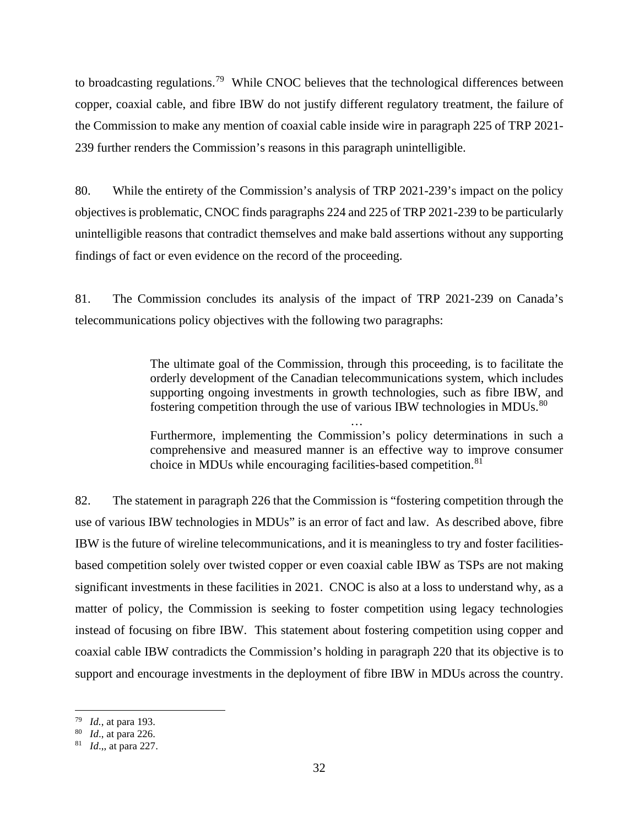to broadcasting regulations.<sup>79</sup> While CNOC believes that the technological differences between copper, coaxial cable, and fibre IBW do not justify different regulatory treatment, the failure of the Commission to make any mention of coaxial cable inside wire in paragraph 225 of TRP 2021- 239 further renders the Commission's reasons in this paragraph unintelligible.

80. While the entirety of the Commission's analysis of TRP 2021-239's impact on the policy objectives is problematic, CNOC finds paragraphs 224 and 225 of TRP 2021-239 to be particularly unintelligible reasons that contradict themselves and make bald assertions without any supporting findings of fact or even evidence on the record of the proceeding.

81. The Commission concludes its analysis of the impact of TRP 2021-239 on Canada's telecommunications policy objectives with the following two paragraphs:

> The ultimate goal of the Commission, through this proceeding, is to facilitate the orderly development of the Canadian telecommunications system, which includes supporting ongoing investments in growth technologies, such as fibre IBW, and fostering competition through the use of various IBW technologies in MDUs.<sup>[80](#page-33-1)</sup>

> … Furthermore, implementing the Commission's policy determinations in such a comprehensive and measured manner is an effective way to improve consumer choice in MDUs while encouraging facilities-based competition.<sup>[81](#page-33-2)</sup>

82. The statement in paragraph 226 that the Commission is "fostering competition through the use of various IBW technologies in MDUs" is an error of fact and law. As described above, fibre IBW is the future of wireline telecommunications, and it is meaningless to try and foster facilitiesbased competition solely over twisted copper or even coaxial cable IBW as TSPs are not making significant investments in these facilities in 2021. CNOC is also at a loss to understand why, as a matter of policy, the Commission is seeking to foster competition using legacy technologies instead of focusing on fibre IBW. This statement about fostering competition using copper and coaxial cable IBW contradicts the Commission's holding in paragraph 220 that its objective is to support and encourage investments in the deployment of fibre IBW in MDUs across the country.

<span id="page-33-1"></span><span id="page-33-0"></span><sup>79</sup> *Id.*, at para 193. 80 *Id*., at para 226. 81 *Id*.,, at para 227.

<span id="page-33-2"></span>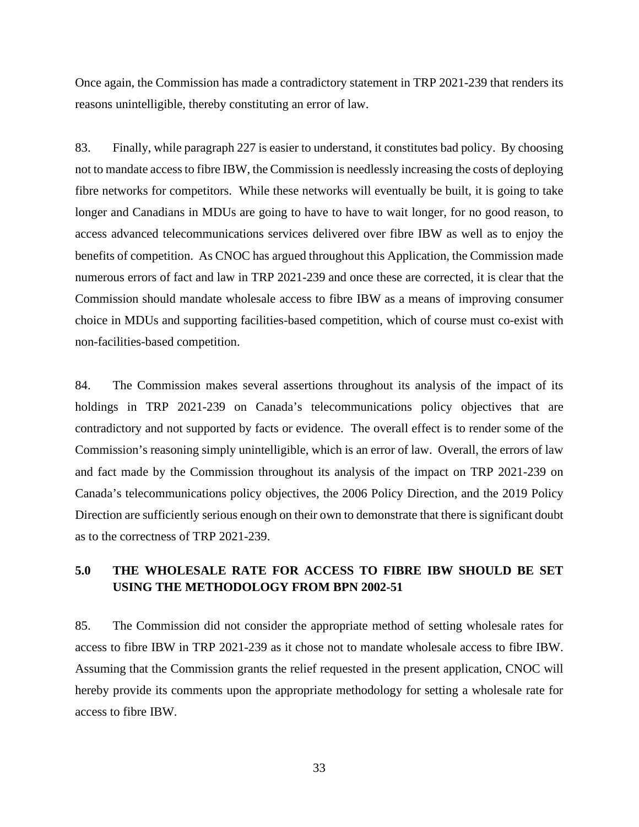Once again, the Commission has made a contradictory statement in TRP 2021-239 that renders its reasons unintelligible, thereby constituting an error of law.

83. Finally, while paragraph 227 is easier to understand, it constitutes bad policy. By choosing not to mandate access to fibre IBW, the Commission is needlessly increasing the costs of deploying fibre networks for competitors. While these networks will eventually be built, it is going to take longer and Canadians in MDUs are going to have to have to wait longer, for no good reason, to access advanced telecommunications services delivered over fibre IBW as well as to enjoy the benefits of competition. As CNOC has argued throughout this Application, the Commission made numerous errors of fact and law in TRP 2021-239 and once these are corrected, it is clear that the Commission should mandate wholesale access to fibre IBW as a means of improving consumer choice in MDUs and supporting facilities-based competition, which of course must co-exist with non-facilities-based competition.

84. The Commission makes several assertions throughout its analysis of the impact of its holdings in TRP 2021-239 on Canada's telecommunications policy objectives that are contradictory and not supported by facts or evidence. The overall effect is to render some of the Commission's reasoning simply unintelligible, which is an error of law. Overall, the errors of law and fact made by the Commission throughout its analysis of the impact on TRP 2021-239 on Canada's telecommunications policy objectives, the 2006 Policy Direction, and the 2019 Policy Direction are sufficiently serious enough on their own to demonstrate that there is significant doubt as to the correctness of TRP 2021-239.

### <span id="page-34-0"></span>**5.0 THE WHOLESALE RATE FOR ACCESS TO FIBRE IBW SHOULD BE SET USING THE METHODOLOGY FROM BPN 2002-51**

85. The Commission did not consider the appropriate method of setting wholesale rates for access to fibre IBW in TRP 2021-239 as it chose not to mandate wholesale access to fibre IBW. Assuming that the Commission grants the relief requested in the present application, CNOC will hereby provide its comments upon the appropriate methodology for setting a wholesale rate for access to fibre IBW.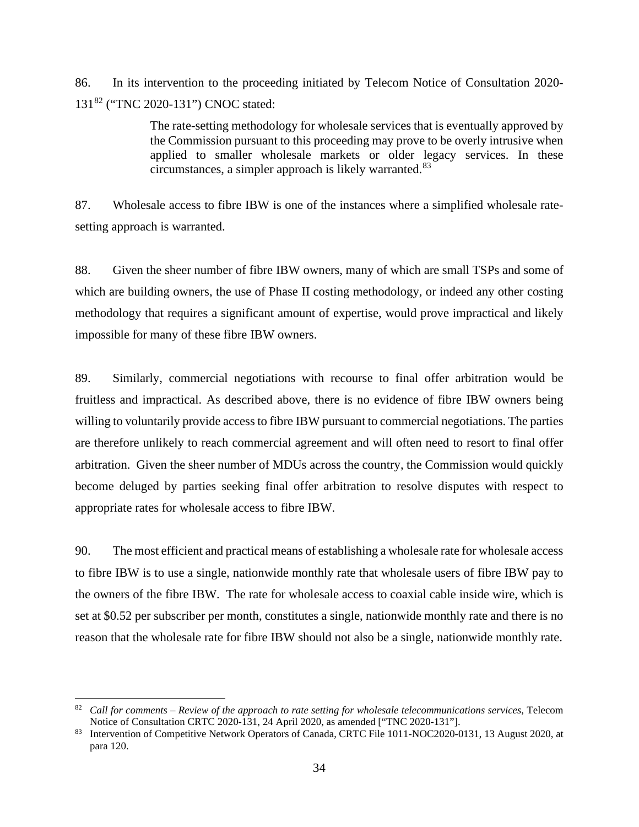86. In its intervention to the proceeding initiated by Telecom Notice of Consultation 2020- 131[82](#page-35-0) ("TNC 2020-131") CNOC stated:

> The rate-setting methodology for wholesale services that is eventually approved by the Commission pursuant to this proceeding may prove to be overly intrusive when applied to smaller wholesale markets or older legacy services. In these circumstances, a simpler approach is likely warranted.<sup>[83](#page-35-1)</sup>

87. Wholesale access to fibre IBW is one of the instances where a simplified wholesale ratesetting approach is warranted.

88. Given the sheer number of fibre IBW owners, many of which are small TSPs and some of which are building owners, the use of Phase II costing methodology, or indeed any other costing methodology that requires a significant amount of expertise, would prove impractical and likely impossible for many of these fibre IBW owners.

89. Similarly, commercial negotiations with recourse to final offer arbitration would be fruitless and impractical. As described above, there is no evidence of fibre IBW owners being willing to voluntarily provide access to fibre IBW pursuant to commercial negotiations. The parties are therefore unlikely to reach commercial agreement and will often need to resort to final offer arbitration. Given the sheer number of MDUs across the country, the Commission would quickly become deluged by parties seeking final offer arbitration to resolve disputes with respect to appropriate rates for wholesale access to fibre IBW.

90. The most efficient and practical means of establishing a wholesale rate for wholesale access to fibre IBW is to use a single, nationwide monthly rate that wholesale users of fibre IBW pay to the owners of the fibre IBW. The rate for wholesale access to coaxial cable inside wire, which is set at \$0.52 per subscriber per month, constitutes a single, nationwide monthly rate and there is no reason that the wholesale rate for fibre IBW should not also be a single, nationwide monthly rate.

<span id="page-35-0"></span><sup>82</sup> *Call for comments – Review of the approach to rate setting for wholesale telecommunications services*, Telecom

<span id="page-35-1"></span><sup>&</sup>lt;sup>83</sup> Intervention of Competitive Network Operators of Canada, CRTC File 1011-NOC2020-0131, 13 August 2020, at para 120.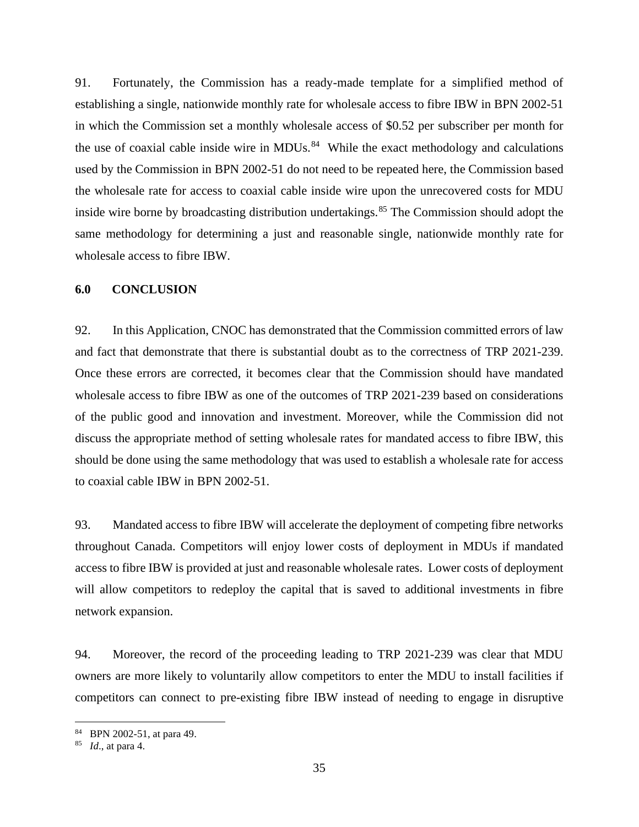91. Fortunately, the Commission has a ready-made template for a simplified method of establishing a single, nationwide monthly rate for wholesale access to fibre IBW in BPN 2002-51 in which the Commission set a monthly wholesale access of \$0.52 per subscriber per month for the use of coaxial cable inside wire in MDUs. $84$  While the exact methodology and calculations used by the Commission in BPN 2002-51 do not need to be repeated here, the Commission based the wholesale rate for access to coaxial cable inside wire upon the unrecovered costs for MDU inside wire borne by broadcasting distribution undertakings.<sup>[85](#page-36-2)</sup> The Commission should adopt the same methodology for determining a just and reasonable single, nationwide monthly rate for wholesale access to fibre IBW.

#### <span id="page-36-0"></span>**6.0 CONCLUSION**

92. In this Application, CNOC has demonstrated that the Commission committed errors of law and fact that demonstrate that there is substantial doubt as to the correctness of TRP 2021-239. Once these errors are corrected, it becomes clear that the Commission should have mandated wholesale access to fibre IBW as one of the outcomes of TRP 2021-239 based on considerations of the public good and innovation and investment. Moreover, while the Commission did not discuss the appropriate method of setting wholesale rates for mandated access to fibre IBW, this should be done using the same methodology that was used to establish a wholesale rate for access to coaxial cable IBW in BPN 2002-51.

93. Mandated access to fibre IBW will accelerate the deployment of competing fibre networks throughout Canada. Competitors will enjoy lower costs of deployment in MDUs if mandated access to fibre IBW is provided at just and reasonable wholesale rates. Lower costs of deployment will allow competitors to redeploy the capital that is saved to additional investments in fibre network expansion.

94. Moreover, the record of the proceeding leading to TRP 2021-239 was clear that MDU owners are more likely to voluntarily allow competitors to enter the MDU to install facilities if competitors can connect to pre-existing fibre IBW instead of needing to engage in disruptive

<span id="page-36-1"></span><sup>84</sup> BPN 2002-51, at para 49. 85 *Id*., at para 4.

<span id="page-36-2"></span>